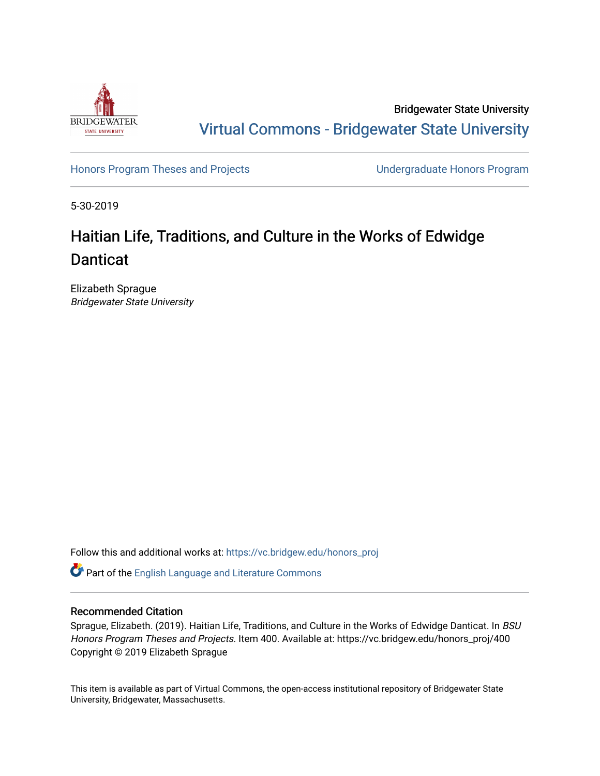

Bridgewater State University [Virtual Commons - Bridgewater State University](https://vc.bridgew.edu/) 

[Honors Program Theses and Projects](https://vc.bridgew.edu/honors_proj) [Undergraduate Honors Program](https://vc.bridgew.edu/honors) 

5-30-2019

# Haitian Life, Traditions, and Culture in the Works of Edwidge **Danticat**

Elizabeth Sprague Bridgewater State University

Follow this and additional works at: [https://vc.bridgew.edu/honors\\_proj](https://vc.bridgew.edu/honors_proj?utm_source=vc.bridgew.edu%2Fhonors_proj%2F400&utm_medium=PDF&utm_campaign=PDFCoverPages)

Part of the [English Language and Literature Commons](http://network.bepress.com/hgg/discipline/455?utm_source=vc.bridgew.edu%2Fhonors_proj%2F400&utm_medium=PDF&utm_campaign=PDFCoverPages)

## Recommended Citation

Sprague, Elizabeth. (2019). Haitian Life, Traditions, and Culture in the Works of Edwidge Danticat. In BSU Honors Program Theses and Projects. Item 400. Available at: https://vc.bridgew.edu/honors\_proj/400 Copyright © 2019 Elizabeth Sprague

This item is available as part of Virtual Commons, the open-access institutional repository of Bridgewater State University, Bridgewater, Massachusetts.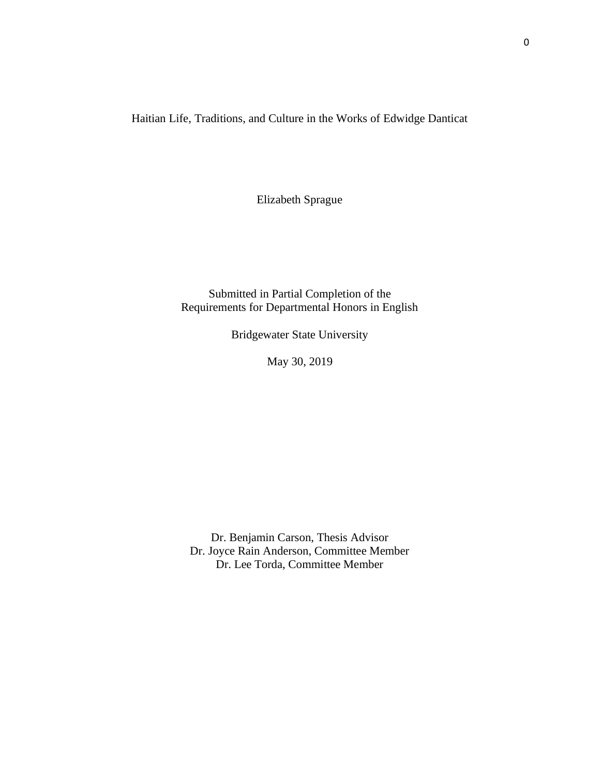Haitian Life, Traditions, and Culture in the Works of Edwidge Danticat

Elizabeth Sprague

Submitted in Partial Completion of the Requirements for Departmental Honors in English

Bridgewater State University

May 30, 2019

Dr. Benjamin Carson, Thesis Advisor Dr. Joyce Rain Anderson, Committee Member Dr. Lee Torda, Committee Member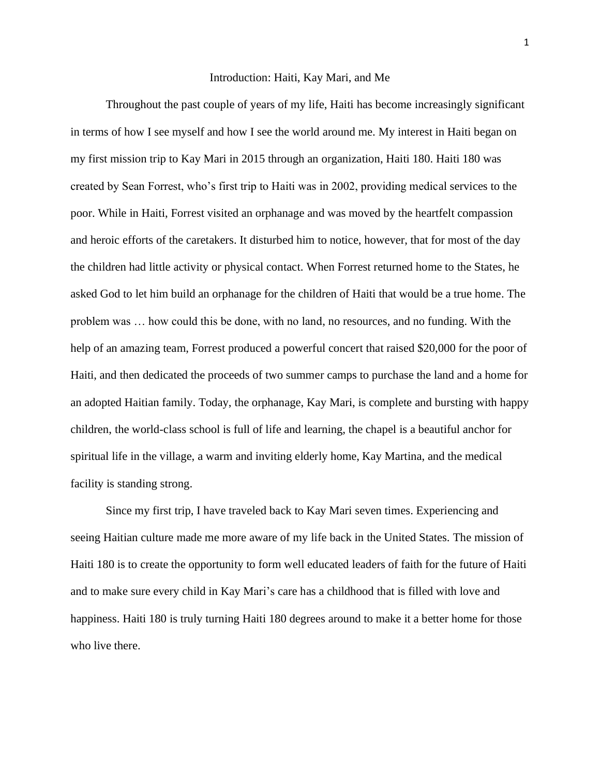### Introduction: Haiti, Kay Mari, and Me

Throughout the past couple of years of my life, Haiti has become increasingly significant in terms of how I see myself and how I see the world around me. My interest in Haiti began on my first mission trip to Kay Mari in 2015 through an organization, Haiti 180. Haiti 180 was created by Sean Forrest, who's first trip to Haiti was in 2002, providing medical services to the poor. While in Haiti, Forrest visited an orphanage and was moved by the heartfelt compassion and heroic efforts of the caretakers. It disturbed him to notice, however, that for most of the day the children had little activity or physical contact. When Forrest returned home to the States, he asked God to let him build an orphanage for the children of Haiti that would be a true home. The problem was … how could this be done, with no land, no resources, and no funding. With the help of an amazing team, Forrest produced a powerful concert that raised \$20,000 for the poor of Haiti, and then dedicated the proceeds of two summer camps to purchase the land and a home for an adopted Haitian family. Today, the orphanage, Kay Mari, is complete and bursting with happy children, the world-class school is full of life and learning, the chapel is a beautiful anchor for spiritual life in the village, a warm and inviting elderly home, Kay Martina, and the medical facility is standing strong.

Since my first trip, I have traveled back to Kay Mari seven times. Experiencing and seeing Haitian culture made me more aware of my life back in the United States. The mission of Haiti 180 is to create the opportunity to form well educated leaders of faith for the future of Haiti and to make sure every child in Kay Mari's care has a childhood that is filled with love and happiness. Haiti 180 is truly turning Haiti 180 degrees around to make it a better home for those who live there.

1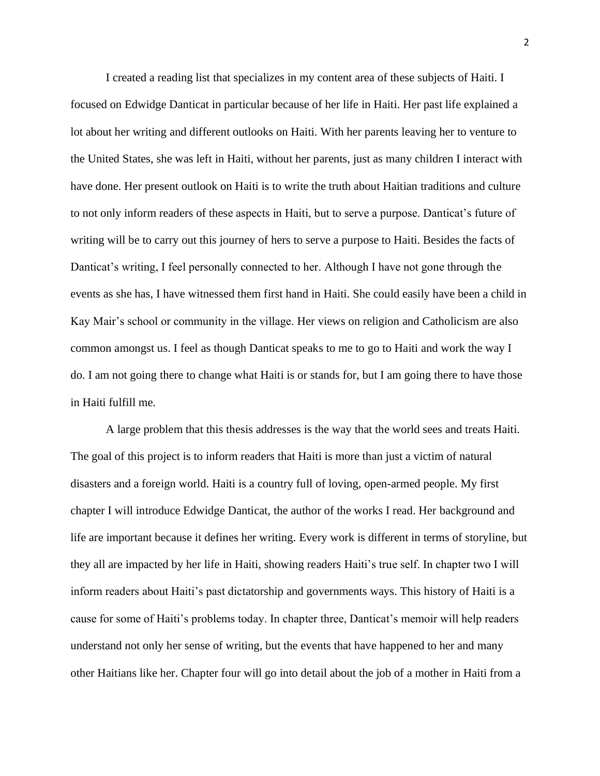I created a reading list that specializes in my content area of these subjects of Haiti. I focused on Edwidge Danticat in particular because of her life in Haiti. Her past life explained a lot about her writing and different outlooks on Haiti. With her parents leaving her to venture to the United States, she was left in Haiti, without her parents, just as many children I interact with have done. Her present outlook on Haiti is to write the truth about Haitian traditions and culture to not only inform readers of these aspects in Haiti, but to serve a purpose. Danticat's future of writing will be to carry out this journey of hers to serve a purpose to Haiti. Besides the facts of Danticat's writing, I feel personally connected to her. Although I have not gone through the events as she has, I have witnessed them first hand in Haiti. She could easily have been a child in Kay Mair's school or community in the village. Her views on religion and Catholicism are also common amongst us. I feel as though Danticat speaks to me to go to Haiti and work the way I do. I am not going there to change what Haiti is or stands for, but I am going there to have those in Haiti fulfill me.

A large problem that this thesis addresses is the way that the world sees and treats Haiti. The goal of this project is to inform readers that Haiti is more than just a victim of natural disasters and a foreign world. Haiti is a country full of loving, open-armed people. My first chapter I will introduce Edwidge Danticat, the author of the works I read. Her background and life are important because it defines her writing. Every work is different in terms of storyline, but they all are impacted by her life in Haiti, showing readers Haiti's true self. In chapter two I will inform readers about Haiti's past dictatorship and governments ways. This history of Haiti is a cause for some of Haiti's problems today. In chapter three, Danticat's memoir will help readers understand not only her sense of writing, but the events that have happened to her and many other Haitians like her. Chapter four will go into detail about the job of a mother in Haiti from a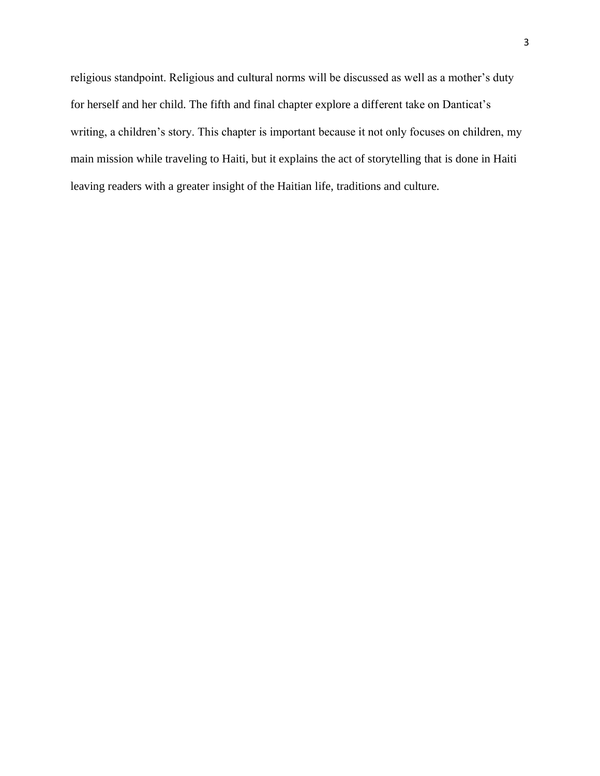religious standpoint. Religious and cultural norms will be discussed as well as a mother's duty for herself and her child. The fifth and final chapter explore a different take on Danticat's writing, a children's story. This chapter is important because it not only focuses on children, my main mission while traveling to Haiti, but it explains the act of storytelling that is done in Haiti leaving readers with a greater insight of the Haitian life, traditions and culture.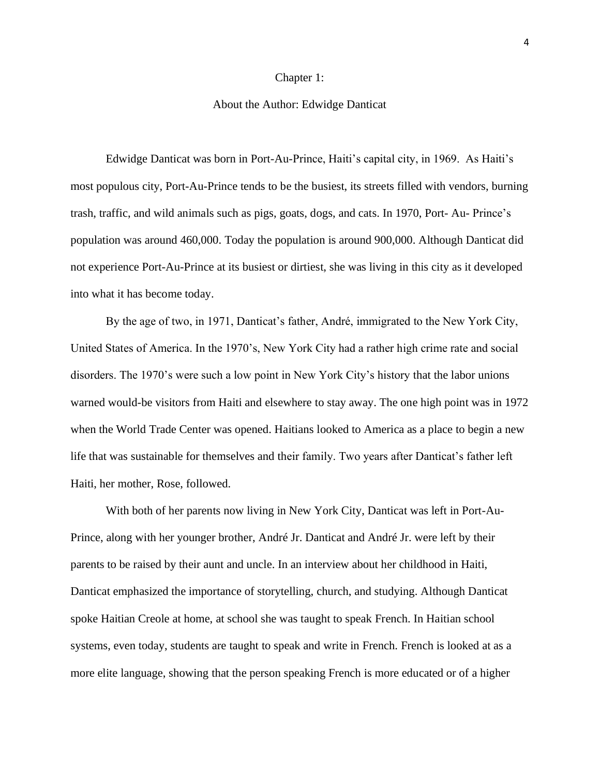#### Chapter 1:

## About the Author: Edwidge Danticat

Edwidge Danticat was born in Port-Au-Prince, Haiti's capital city, in 1969. As Haiti's most populous city, Port-Au-Prince tends to be the busiest, its streets filled with vendors, burning trash, traffic, and wild animals such as pigs, goats, dogs, and cats. In 1970, Port- Au- Prince's population was around 460,000. Today the population is around 900,000. Although Danticat did not experience Port-Au-Prince at its busiest or dirtiest, she was living in this city as it developed into what it has become today.

By the age of two, in 1971, Danticat's father, André, immigrated to the New York City, United States of America. In the 1970's, New York City had a rather high crime rate and social disorders. The 1970's were such a low point in New York City's history that the labor unions warned would-be visitors from Haiti and elsewhere to stay away. The one high point was in 1972 when the World Trade Center was opened. Haitians looked to America as a place to begin a new life that was sustainable for themselves and their family. Two years after Danticat's father left Haiti, her mother, Rose, followed.

With both of her parents now living in New York City, Danticat was left in Port-Au-Prince, along with her younger brother, André Jr. Danticat and André Jr. were left by their parents to be raised by their aunt and uncle. In an interview about her childhood in Haiti, Danticat emphasized the importance of storytelling, church, and studying. Although Danticat spoke Haitian Creole at home, at school she was taught to speak French. In Haitian school systems, even today, students are taught to speak and write in French. French is looked at as a more elite language, showing that the person speaking French is more educated or of a higher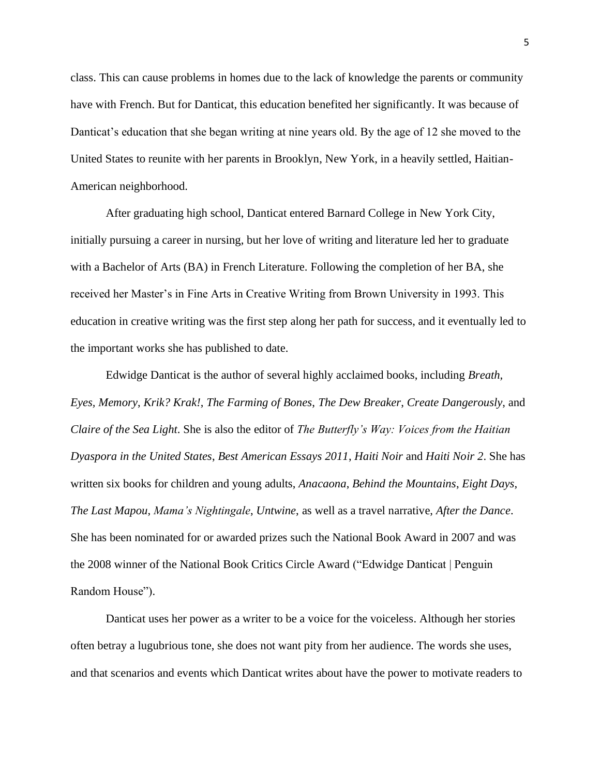class. This can cause problems in homes due to the lack of knowledge the parents or community have with French. But for Danticat, this education benefited her significantly. It was because of Danticat's education that she began writing at nine years old. By the age of 12 she moved to the United States to reunite with her parents in Brooklyn, New York, in a heavily settled, Haitian-American neighborhood.

After graduating high school, Danticat entered Barnard College in New York City, initially pursuing a career in nursing, but her love of writing and literature led her to graduate with a Bachelor of Arts (BA) in French Literature. Following the completion of her BA, she received her Master's in Fine Arts in Creative Writing from Brown University in 1993. This education in creative writing was the first step along her path for success, and it eventually led to the important works she has published to date.

Edwidge Danticat is the author of several highly acclaimed books, including *Breath, Eyes, Memory*, *Krik? Krak!*, *The Farming of Bones*, *The Dew Breaker*, *Create Dangerously*, and *Claire of the Sea Light*. She is also the editor of *The Butterfly's Way: Voices from the Haitian Dyaspora in the United States*, *Best American Essays 2011*, *Haiti Noir* and *Haiti Noir 2*. She has written six books for children and young adults, *Anacaona*, *Behind the Mountains*, *Eight Days*, *The Last Mapou*, *Mama's Nightingale*, *Untwine*, as well as a travel narrative, *After the Dance*. She has been nominated for or awarded prizes such the National Book Award in 2007 and was the 2008 winner of the National Book Critics Circle Award ("Edwidge Danticat | Penguin Random House").

Danticat uses her power as a writer to be a voice for the voiceless. Although her stories often betray a lugubrious tone, she does not want pity from her audience. The words she uses, and that scenarios and events which Danticat writes about have the power to motivate readers to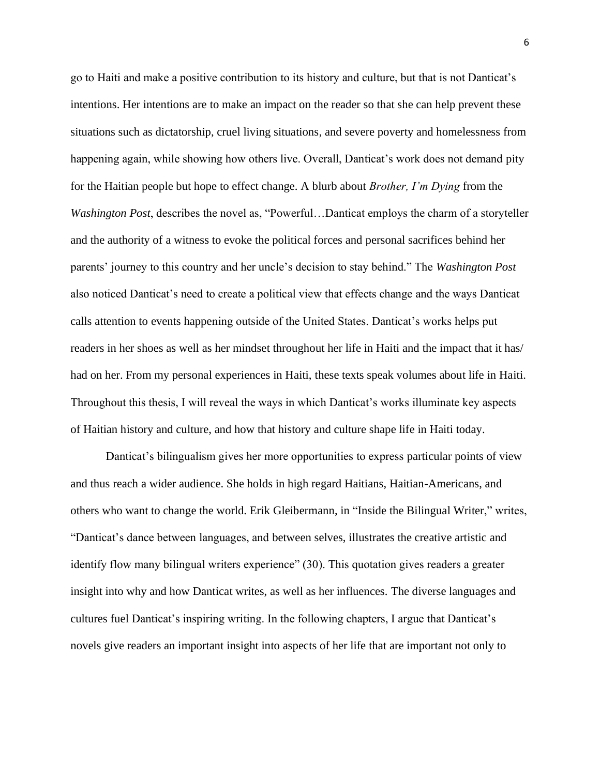go to Haiti and make a positive contribution to its history and culture, but that is not Danticat's intentions. Her intentions are to make an impact on the reader so that she can help prevent these situations such as dictatorship, cruel living situations, and severe poverty and homelessness from happening again, while showing how others live. Overall, Danticat's work does not demand pity for the Haitian people but hope to effect change. A blurb about *Brother, I'm Dying* from the *Washington Post*, describes the novel as, "Powerful…Danticat employs the charm of a storyteller and the authority of a witness to evoke the political forces and personal sacrifices behind her parents' journey to this country and her uncle's decision to stay behind." The *Washington Post* also noticed Danticat's need to create a political view that effects change and the ways Danticat calls attention to events happening outside of the United States. Danticat's works helps put readers in her shoes as well as her mindset throughout her life in Haiti and the impact that it has/ had on her. From my personal experiences in Haiti, these texts speak volumes about life in Haiti. Throughout this thesis, I will reveal the ways in which Danticat's works illuminate key aspects of Haitian history and culture, and how that history and culture shape life in Haiti today.

Danticat's bilingualism gives her more opportunities to express particular points of view and thus reach a wider audience. She holds in high regard Haitians, Haitian-Americans, and others who want to change the world. Erik Gleibermann, in "Inside the Bilingual Writer," writes, "Danticat's dance between languages, and between selves, illustrates the creative artistic and identify flow many bilingual writers experience" (30). This quotation gives readers a greater insight into why and how Danticat writes, as well as her influences. The diverse languages and cultures fuel Danticat's inspiring writing. In the following chapters, I argue that Danticat's novels give readers an important insight into aspects of her life that are important not only to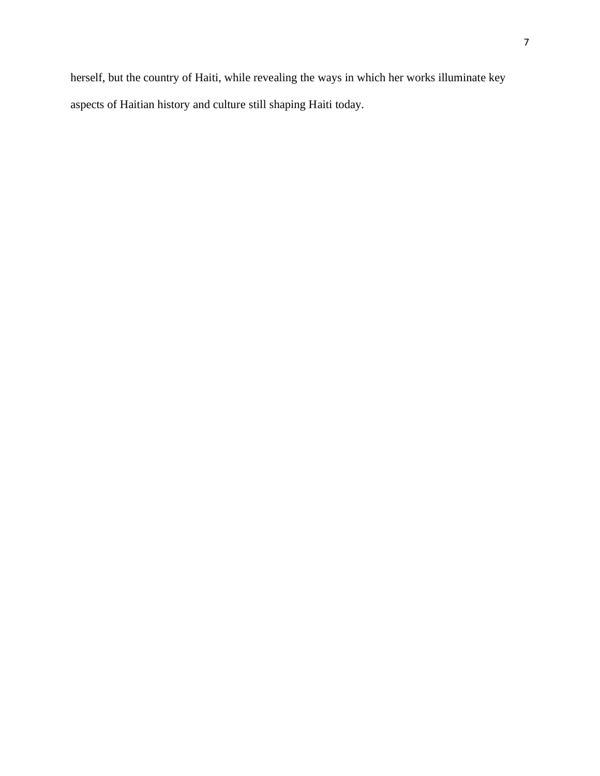herself, but the country of Haiti, while revealing the ways in which her works illuminate key aspects of Haitian history and culture still shaping Haiti today.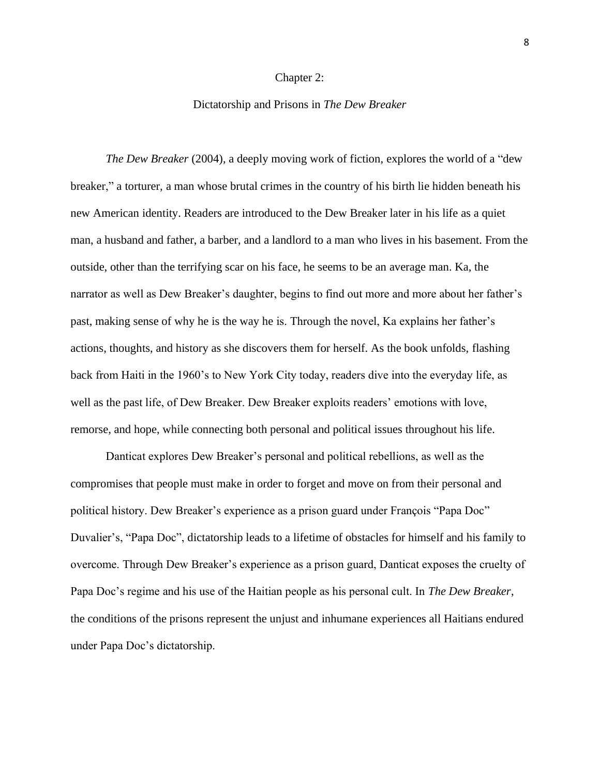### Chapter 2:

## Dictatorship and Prisons in *The Dew Breaker*

*The Dew Breaker* (2004), a deeply moving work of fiction, explores the world of a "dew breaker," a torturer, a man whose brutal crimes in the country of his birth lie hidden beneath his new American identity. Readers are introduced to the Dew Breaker later in his life as a quiet man, a husband and father, a barber, and a landlord to a man who lives in his basement. From the outside, other than the terrifying scar on his face, he seems to be an average man. Ka, the narrator as well as Dew Breaker's daughter, begins to find out more and more about her father's past, making sense of why he is the way he is. Through the novel, Ka explains her father's actions, thoughts, and history as she discovers them for herself. As the book unfolds, flashing back from Haiti in the 1960's to New York City today, readers dive into the everyday life, as well as the past life, of Dew Breaker. Dew Breaker exploits readers' emotions with love, remorse, and hope, while connecting both personal and political issues throughout his life.

Danticat explores Dew Breaker's personal and political rebellions, as well as the compromises that people must make in order to forget and move on from their personal and political history. Dew Breaker's experience as a prison guard under François "Papa Doc" Duvalier's, "Papa Doc", dictatorship leads to a lifetime of obstacles for himself and his family to overcome. Through Dew Breaker's experience as a prison guard, Danticat exposes the cruelty of Papa Doc's regime and his use of the Haitian people as his personal cult. In *The Dew Breaker*, the conditions of the prisons represent the unjust and inhumane experiences all Haitians endured under Papa Doc's dictatorship.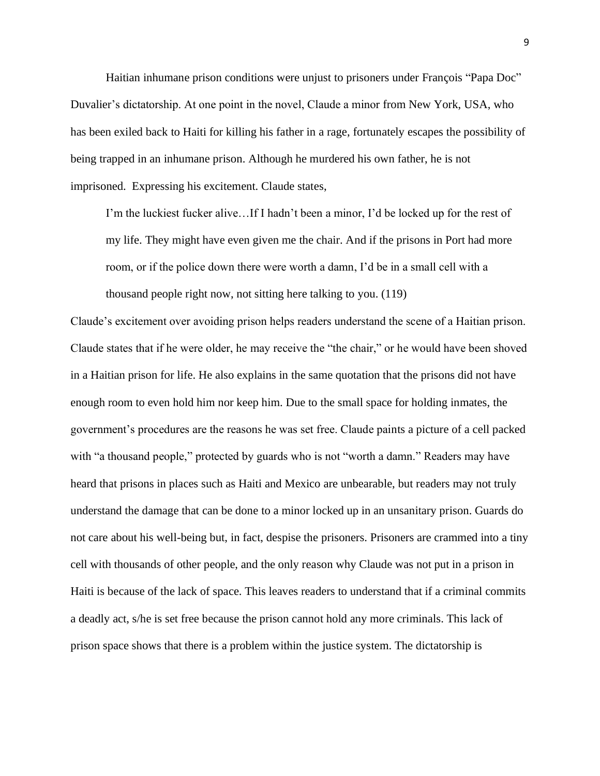Haitian inhumane prison conditions were unjust to prisoners under François "Papa Doc" Duvalier's dictatorship. At one point in the novel, Claude a minor from New York, USA, who has been exiled back to Haiti for killing his father in a rage, fortunately escapes the possibility of being trapped in an inhumane prison. Although he murdered his own father, he is not imprisoned. Expressing his excitement. Claude states,

I'm the luckiest fucker alive…If I hadn't been a minor, I'd be locked up for the rest of my life. They might have even given me the chair. And if the prisons in Port had more room, or if the police down there were worth a damn, I'd be in a small cell with a thousand people right now, not sitting here talking to you. (119)

Claude's excitement over avoiding prison helps readers understand the scene of a Haitian prison. Claude states that if he were older, he may receive the "the chair," or he would have been shoved in a Haitian prison for life. He also explains in the same quotation that the prisons did not have enough room to even hold him nor keep him. Due to the small space for holding inmates, the government's procedures are the reasons he was set free. Claude paints a picture of a cell packed with "a thousand people," protected by guards who is not "worth a damn." Readers may have heard that prisons in places such as Haiti and Mexico are unbearable, but readers may not truly understand the damage that can be done to a minor locked up in an unsanitary prison. Guards do not care about his well-being but, in fact, despise the prisoners. Prisoners are crammed into a tiny cell with thousands of other people, and the only reason why Claude was not put in a prison in Haiti is because of the lack of space. This leaves readers to understand that if a criminal commits a deadly act, s/he is set free because the prison cannot hold any more criminals. This lack of prison space shows that there is a problem within the justice system. The dictatorship is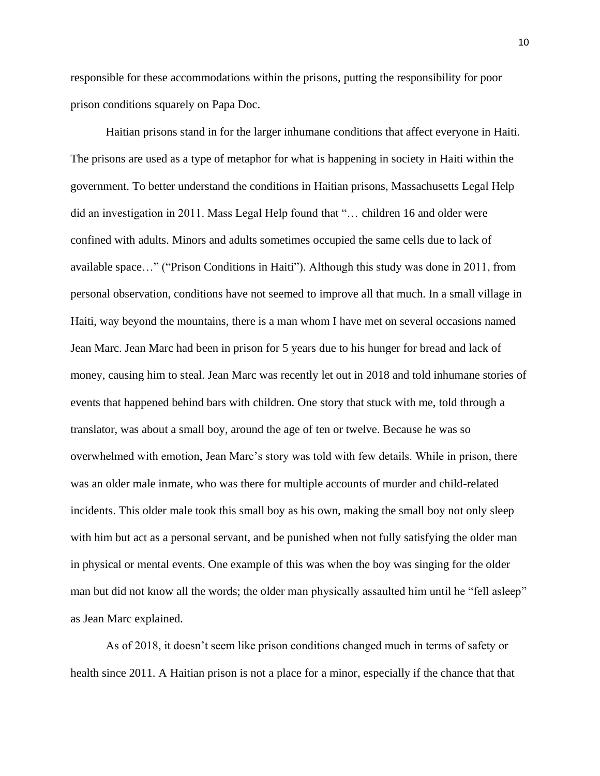responsible for these accommodations within the prisons, putting the responsibility for poor prison conditions squarely on Papa Doc.

Haitian prisons stand in for the larger inhumane conditions that affect everyone in Haiti. The prisons are used as a type of metaphor for what is happening in society in Haiti within the government. To better understand the conditions in Haitian prisons, Massachusetts Legal Help did an investigation in 2011. Mass Legal Help found that "… children 16 and older were confined with adults. Minors and adults sometimes occupied the same cells due to lack of available space…" ("Prison Conditions in Haiti"). Although this study was done in 2011, from personal observation, conditions have not seemed to improve all that much. In a small village in Haiti, way beyond the mountains, there is a man whom I have met on several occasions named Jean Marc. Jean Marc had been in prison for 5 years due to his hunger for bread and lack of money, causing him to steal. Jean Marc was recently let out in 2018 and told inhumane stories of events that happened behind bars with children. One story that stuck with me, told through a translator, was about a small boy, around the age of ten or twelve. Because he was so overwhelmed with emotion, Jean Marc's story was told with few details. While in prison, there was an older male inmate, who was there for multiple accounts of murder and child-related incidents. This older male took this small boy as his own, making the small boy not only sleep with him but act as a personal servant, and be punished when not fully satisfying the older man in physical or mental events. One example of this was when the boy was singing for the older man but did not know all the words; the older man physically assaulted him until he "fell asleep" as Jean Marc explained.

As of 2018, it doesn't seem like prison conditions changed much in terms of safety or health since 2011. A Haitian prison is not a place for a minor, especially if the chance that that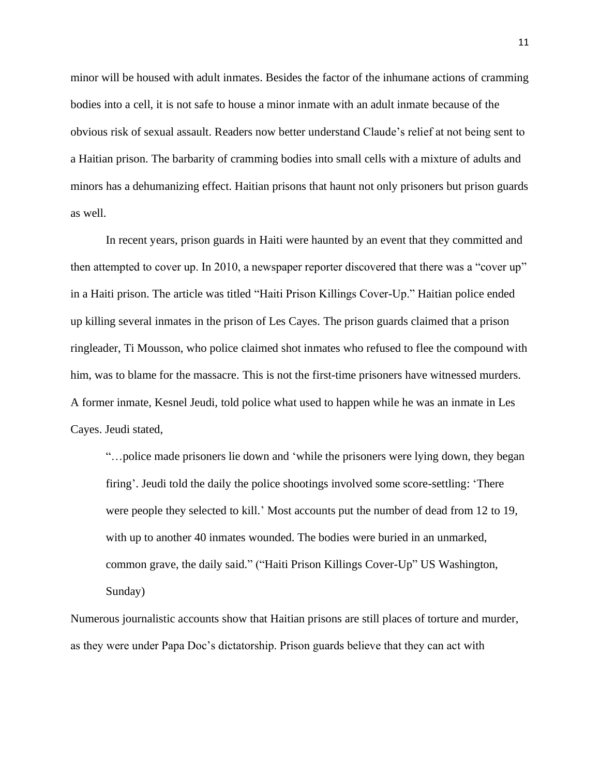minor will be housed with adult inmates. Besides the factor of the inhumane actions of cramming bodies into a cell, it is not safe to house a minor inmate with an adult inmate because of the obvious risk of sexual assault. Readers now better understand Claude's relief at not being sent to a Haitian prison. The barbarity of cramming bodies into small cells with a mixture of adults and minors has a dehumanizing effect. Haitian prisons that haunt not only prisoners but prison guards as well.

In recent years, prison guards in Haiti were haunted by an event that they committed and then attempted to cover up. In 2010, a newspaper reporter discovered that there was a "cover up" in a Haiti prison. The article was titled "Haiti Prison Killings Cover-Up." Haitian police ended up killing several inmates in the prison of Les Cayes. The prison guards claimed that a prison ringleader, Ti Mousson, who police claimed shot inmates who refused to flee the compound with him, was to blame for the massacre. This is not the first-time prisoners have witnessed murders. A former inmate, Kesnel Jeudi, told police what used to happen while he was an inmate in Les Cayes. Jeudi stated,

"…police made prisoners lie down and 'while the prisoners were lying down, they began firing'. Jeudi told the daily the police shootings involved some score-settling: 'There were people they selected to kill.' Most accounts put the number of dead from 12 to 19, with up to another 40 inmates wounded. The bodies were buried in an unmarked, common grave, the daily said." ("Haiti Prison Killings Cover-Up" US Washington, Sunday)

Numerous journalistic accounts show that Haitian prisons are still places of torture and murder, as they were under Papa Doc's dictatorship. Prison guards believe that they can act with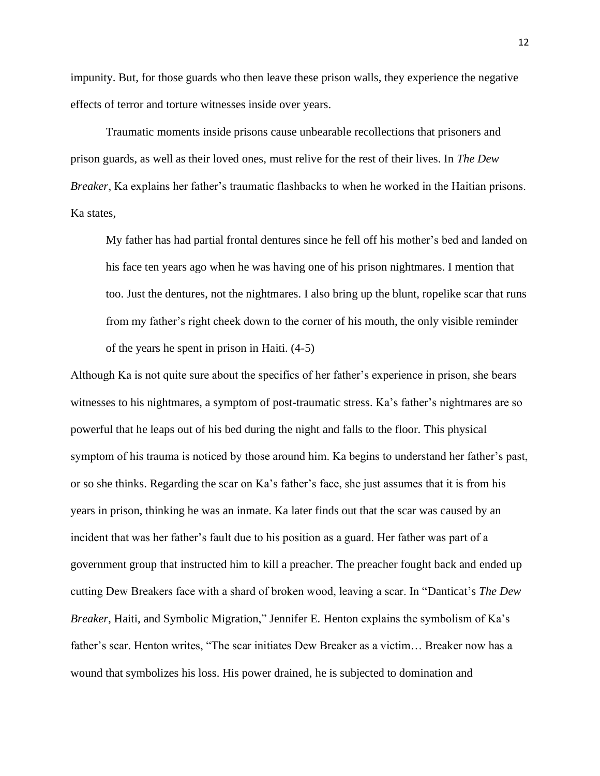impunity. But, for those guards who then leave these prison walls, they experience the negative effects of terror and torture witnesses inside over years.

Traumatic moments inside prisons cause unbearable recollections that prisoners and prison guards, as well as their loved ones, must relive for the rest of their lives. In *The Dew Breaker*, Ka explains her father's traumatic flashbacks to when he worked in the Haitian prisons. Ka states,

My father has had partial frontal dentures since he fell off his mother's bed and landed on his face ten years ago when he was having one of his prison nightmares. I mention that too. Just the dentures, not the nightmares. I also bring up the blunt, ropelike scar that runs from my father's right cheek down to the corner of his mouth, the only visible reminder of the years he spent in prison in Haiti. (4-5)

Although Ka is not quite sure about the specifics of her father's experience in prison, she bears witnesses to his nightmares, a symptom of post-traumatic stress. Ka's father's nightmares are so powerful that he leaps out of his bed during the night and falls to the floor. This physical symptom of his trauma is noticed by those around him. Ka begins to understand her father's past, or so she thinks. Regarding the scar on Ka's father's face, she just assumes that it is from his years in prison, thinking he was an inmate. Ka later finds out that the scar was caused by an incident that was her father's fault due to his position as a guard. Her father was part of a government group that instructed him to kill a preacher. The preacher fought back and ended up cutting Dew Breakers face with a shard of broken wood, leaving a scar. In "Danticat's *The Dew Breaker*, Haiti, and Symbolic Migration," Jennifer E. Henton explains the symbolism of Ka's father's scar. Henton writes, "The scar initiates Dew Breaker as a victim… Breaker now has a wound that symbolizes his loss. His power drained, he is subjected to domination and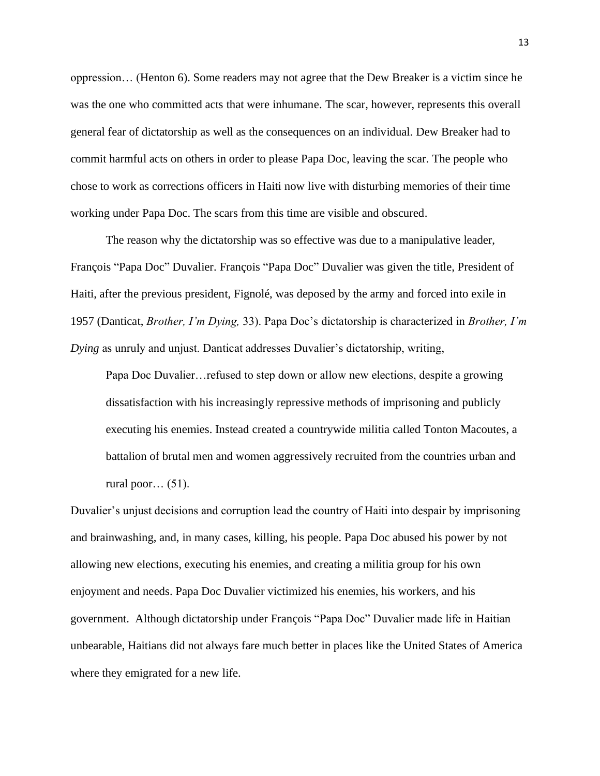oppression… (Henton 6). Some readers may not agree that the Dew Breaker is a victim since he was the one who committed acts that were inhumane. The scar, however, represents this overall general fear of dictatorship as well as the consequences on an individual. Dew Breaker had to commit harmful acts on others in order to please Papa Doc, leaving the scar. The people who chose to work as corrections officers in Haiti now live with disturbing memories of their time working under Papa Doc. The scars from this time are visible and obscured.

The reason why the dictatorship was so effective was due to a manipulative leader, François "Papa Doc" Duvalier. François "Papa Doc" Duvalier was given the title, President of Haiti, after the previous president, Fignolé, was deposed by the army and forced into exile in 1957 (Danticat, *Brother, I'm Dying,* 33). Papa Doc's dictatorship is characterized in *Brother, I'm Dying* as unruly and unjust. Danticat addresses Duvalier's dictatorship, writing,

Papa Doc Duvalier…refused to step down or allow new elections, despite a growing dissatisfaction with his increasingly repressive methods of imprisoning and publicly executing his enemies. Instead created a countrywide militia called Tonton Macoutes, a battalion of brutal men and women aggressively recruited from the countries urban and rural poor... $(51)$ .

Duvalier's unjust decisions and corruption lead the country of Haiti into despair by imprisoning and brainwashing, and, in many cases, killing, his people. Papa Doc abused his power by not allowing new elections, executing his enemies, and creating a militia group for his own enjoyment and needs. Papa Doc Duvalier victimized his enemies, his workers, and his government. Although dictatorship under François "Papa Doc" Duvalier made life in Haitian unbearable, Haitians did not always fare much better in places like the United States of America where they emigrated for a new life.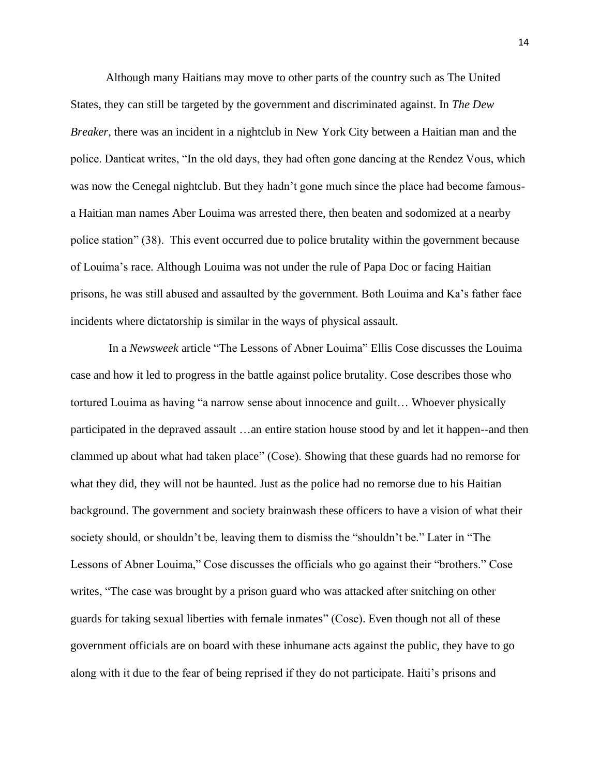Although many Haitians may move to other parts of the country such as The United States, they can still be targeted by the government and discriminated against. In *The Dew Breaker*, there was an incident in a nightclub in New York City between a Haitian man and the police. Danticat writes, "In the old days, they had often gone dancing at the Rendez Vous, which was now the Cenegal nightclub. But they hadn't gone much since the place had become famousa Haitian man names Aber Louima was arrested there, then beaten and sodomized at a nearby police station" (38). This event occurred due to police brutality within the government because of Louima's race. Although Louima was not under the rule of Papa Doc or facing Haitian prisons, he was still abused and assaulted by the government. Both Louima and Ka's father face incidents where dictatorship is similar in the ways of physical assault.

In a *Newsweek* article "The Lessons of Abner Louima" Ellis Cose discusses the Louima case and how it led to progress in the battle against police brutality. Cose describes those who tortured Louima as having "a narrow sense about innocence and guilt… Whoever physically participated in the depraved assault …an entire station house stood by and let it happen--and then clammed up about what had taken place" (Cose). Showing that these guards had no remorse for what they did, they will not be haunted. Just as the police had no remorse due to his Haitian background. The government and society brainwash these officers to have a vision of what their society should, or shouldn't be, leaving them to dismiss the "shouldn't be." Later in "The Lessons of Abner Louima," Cose discusses the officials who go against their "brothers." Cose writes, "The case was brought by a prison guard who was attacked after snitching on other guards for taking sexual liberties with female inmates" (Cose). Even though not all of these government officials are on board with these inhumane acts against the public, they have to go along with it due to the fear of being reprised if they do not participate. Haiti's prisons and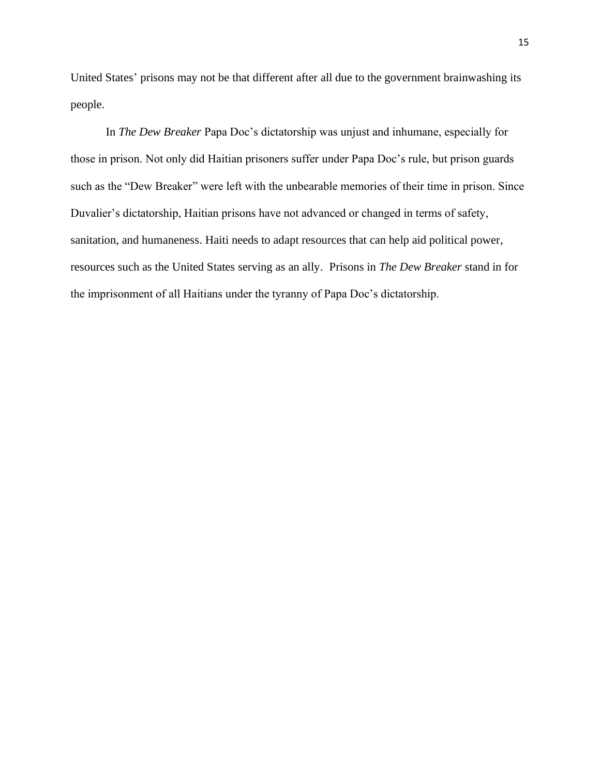United States' prisons may not be that different after all due to the government brainwashing its people.

In *The Dew Breaker* Papa Doc's dictatorship was unjust and inhumane, especially for those in prison. Not only did Haitian prisoners suffer under Papa Doc's rule, but prison guards such as the "Dew Breaker" were left with the unbearable memories of their time in prison. Since Duvalier's dictatorship, Haitian prisons have not advanced or changed in terms of safety, sanitation, and humaneness. Haiti needs to adapt resources that can help aid political power, resources such as the United States serving as an ally. Prisons in *The Dew Breaker* stand in for the imprisonment of all Haitians under the tyranny of Papa Doc's dictatorship.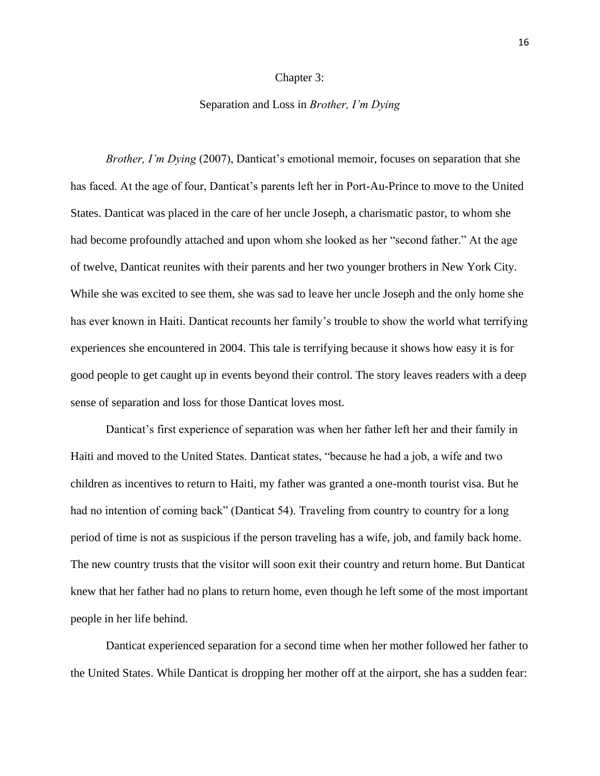#### Chapter 3:

## Separation and Loss in *Brother, I'm Dying*

*Brother, I'm Dying* (2007), Danticat's emotional memoir, focuses on separation that she has faced. At the age of four, Danticat's parents left her in Port-Au-Prince to move to the United States. Danticat was placed in the care of her uncle Joseph, a charismatic pastor, to whom she had become profoundly attached and upon whom she looked as her "second father." At the age of twelve, Danticat reunites with their parents and her two younger brothers in New York City. While she was excited to see them, she was sad to leave her uncle Joseph and the only home she has ever known in Haiti. Danticat recounts her family's trouble to show the world what terrifying experiences she encountered in 2004. This tale is terrifying because it shows how easy it is for good people to get caught up in events beyond their control. The story leaves readers with a deep sense of separation and loss for those Danticat loves most.

Danticat's first experience of separation was when her father left her and their family in Haiti and moved to the United States. Danticat states, "because he had a job, a wife and two children as incentives to return to Haiti, my father was granted a one-month tourist visa. But he had no intention of coming back" (Danticat 54). Traveling from country to country for a long period of time is not as suspicious if the person traveling has a wife, job, and family back home. The new country trusts that the visitor will soon exit their country and return home. But Danticat knew that her father had no plans to return home, even though he left some of the most important people in her life behind.

Danticat experienced separation for a second time when her mother followed her father to the United States. While Danticat is dropping her mother off at the airport, she has a sudden fear: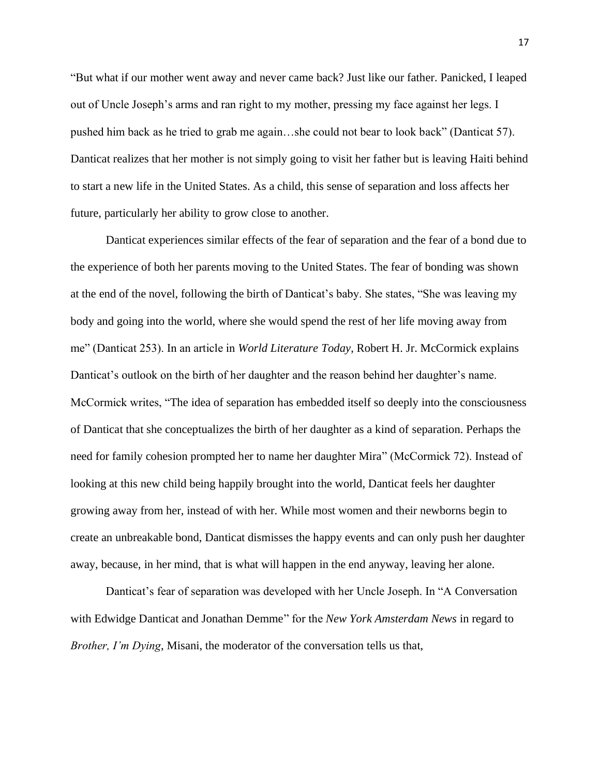"But what if our mother went away and never came back? Just like our father. Panicked, I leaped out of Uncle Joseph's arms and ran right to my mother, pressing my face against her legs. I pushed him back as he tried to grab me again…she could not bear to look back" (Danticat 57). Danticat realizes that her mother is not simply going to visit her father but is leaving Haiti behind to start a new life in the United States. As a child, this sense of separation and loss affects her future, particularly her ability to grow close to another.

Danticat experiences similar effects of the fear of separation and the fear of a bond due to the experience of both her parents moving to the United States. The fear of bonding was shown at the end of the novel, following the birth of Danticat's baby. She states, "She was leaving my body and going into the world, where she would spend the rest of her life moving away from me" (Danticat 253). In an article in *World Literature Today*, Robert H. Jr. McCormick explains Danticat's outlook on the birth of her daughter and the reason behind her daughter's name. McCormick writes, "The idea of separation has embedded itself so deeply into the consciousness of Danticat that she conceptualizes the birth of her daughter as a kind of separation. Perhaps the need for family cohesion prompted her to name her daughter Mira" (McCormick 72). Instead of looking at this new child being happily brought into the world, Danticat feels her daughter growing away from her, instead of with her. While most women and their newborns begin to create an unbreakable bond, Danticat dismisses the happy events and can only push her daughter away, because, in her mind, that is what will happen in the end anyway, leaving her alone.

Danticat's fear of separation was developed with her Uncle Joseph. In "A Conversation with Edwidge Danticat and Jonathan Demme" for the *New York Amsterdam News* in regard to *Brother, I'm Dying*, Misani, the moderator of the conversation tells us that,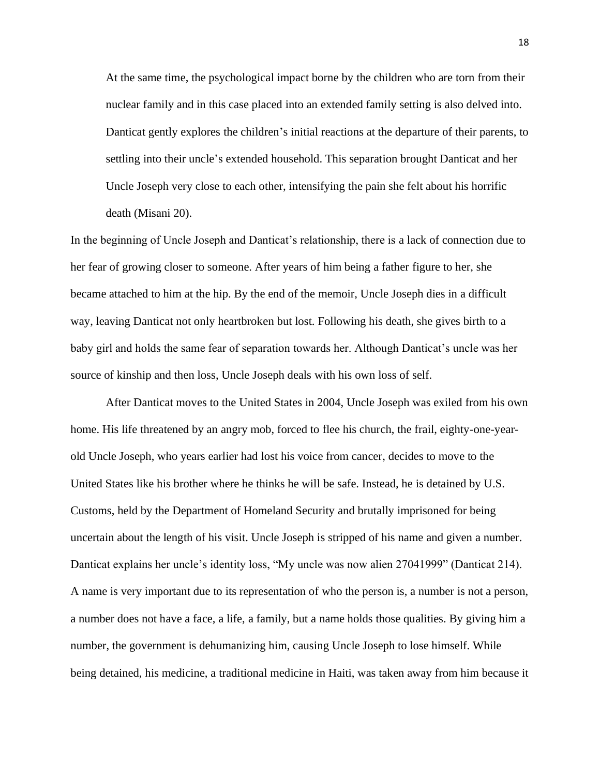At the same time, the psychological impact borne by the children who are torn from their nuclear family and in this case placed into an extended family setting is also delved into. Danticat gently explores the children's initial reactions at the departure of their parents, to settling into their uncle's extended household. This separation brought Danticat and her Uncle Joseph very close to each other, intensifying the pain she felt about his horrific death (Misani 20).

In the beginning of Uncle Joseph and Danticat's relationship, there is a lack of connection due to her fear of growing closer to someone. After years of him being a father figure to her, she became attached to him at the hip. By the end of the memoir, Uncle Joseph dies in a difficult way, leaving Danticat not only heartbroken but lost. Following his death, she gives birth to a baby girl and holds the same fear of separation towards her. Although Danticat's uncle was her source of kinship and then loss, Uncle Joseph deals with his own loss of self.

After Danticat moves to the United States in 2004, Uncle Joseph was exiled from his own home. His life threatened by an angry mob, forced to flee his church, the frail, eighty-one-yearold Uncle Joseph, who years earlier had lost his voice from cancer, decides to move to the United States like his brother where he thinks he will be safe. Instead, he is detained by U.S. Customs, held by the Department of Homeland Security and brutally imprisoned for being uncertain about the length of his visit. Uncle Joseph is stripped of his name and given a number. Danticat explains her uncle's identity loss, "My uncle was now alien 27041999" (Danticat 214). A name is very important due to its representation of who the person is, a number is not a person, a number does not have a face, a life, a family, but a name holds those qualities. By giving him a number, the government is dehumanizing him, causing Uncle Joseph to lose himself. While being detained, his medicine, a traditional medicine in Haiti, was taken away from him because it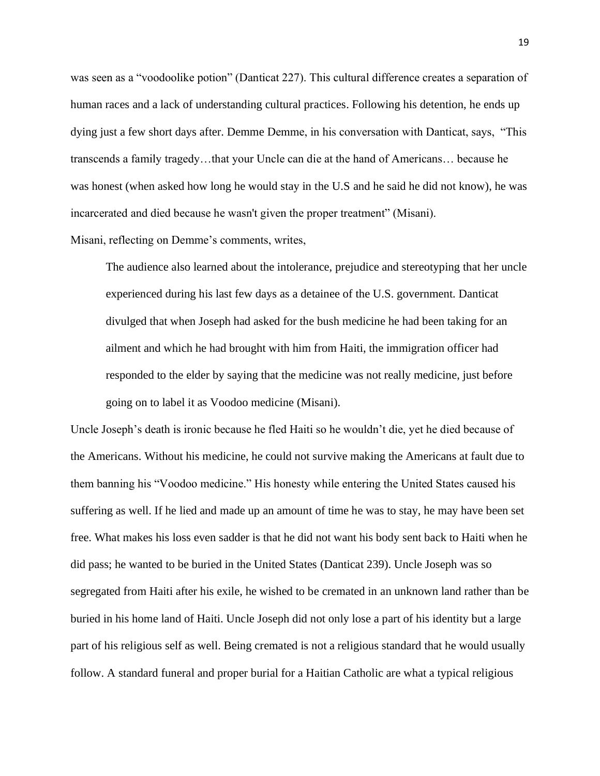was seen as a "voodoolike potion" (Danticat 227). This cultural difference creates a separation of human races and a lack of understanding cultural practices. Following his detention, he ends up dying just a few short days after. Demme Demme, in his conversation with Danticat, says, "This transcends a family tragedy…that your Uncle can die at the hand of Americans… because he was honest (when asked how long he would stay in the U.S and he said he did not know), he was incarcerated and died because he wasn't given the proper treatment" (Misani).

Misani, reflecting on Demme's comments, writes,

The audience also learned about the intolerance, prejudice and stereotyping that her uncle experienced during his last few days as a detainee of the U.S. government. Danticat divulged that when Joseph had asked for the bush medicine he had been taking for an ailment and which he had brought with him from Haiti, the immigration officer had responded to the elder by saying that the medicine was not really medicine, just before going on to label it as Voodoo medicine (Misani).

Uncle Joseph's death is ironic because he fled Haiti so he wouldn't die, yet he died because of the Americans. Without his medicine, he could not survive making the Americans at fault due to them banning his "Voodoo medicine." His honesty while entering the United States caused his suffering as well. If he lied and made up an amount of time he was to stay, he may have been set free. What makes his loss even sadder is that he did not want his body sent back to Haiti when he did pass; he wanted to be buried in the United States (Danticat 239). Uncle Joseph was so segregated from Haiti after his exile, he wished to be cremated in an unknown land rather than be buried in his home land of Haiti. Uncle Joseph did not only lose a part of his identity but a large part of his religious self as well. Being cremated is not a religious standard that he would usually follow. A standard funeral and proper burial for a Haitian Catholic are what a typical religious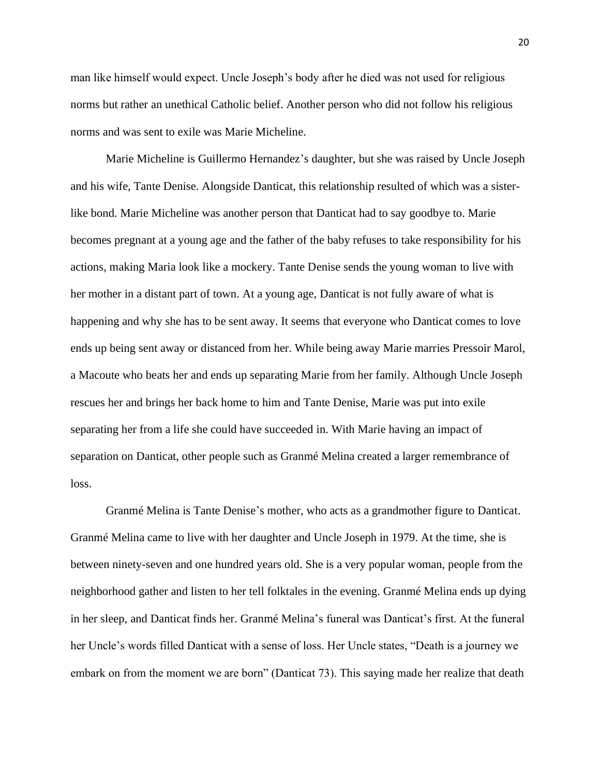man like himself would expect. Uncle Joseph's body after he died was not used for religious norms but rather an unethical Catholic belief. Another person who did not follow his religious norms and was sent to exile was Marie Micheline.

Marie Micheline is Guillermo Hernandez's daughter, but she was raised by Uncle Joseph and his wife, Tante Denise. Alongside Danticat, this relationship resulted of which was a sisterlike bond. Marie Micheline was another person that Danticat had to say goodbye to. Marie becomes pregnant at a young age and the father of the baby refuses to take responsibility for his actions, making Maria look like a mockery. Tante Denise sends the young woman to live with her mother in a distant part of town. At a young age, Danticat is not fully aware of what is happening and why she has to be sent away. It seems that everyone who Danticat comes to love ends up being sent away or distanced from her. While being away Marie marries Pressoir Marol, a Macoute who beats her and ends up separating Marie from her family. Although Uncle Joseph rescues her and brings her back home to him and Tante Denise, Marie was put into exile separating her from a life she could have succeeded in. With Marie having an impact of separation on Danticat, other people such as Granmé Melina created a larger remembrance of loss.

Granmé Melina is Tante Denise's mother, who acts as a grandmother figure to Danticat. Granmé Melina came to live with her daughter and Uncle Joseph in 1979. At the time, she is between ninety-seven and one hundred years old. She is a very popular woman, people from the neighborhood gather and listen to her tell folktales in the evening. Granmé Melina ends up dying in her sleep, and Danticat finds her. Granmé Melina's funeral was Danticat's first. At the funeral her Uncle's words filled Danticat with a sense of loss. Her Uncle states, "Death is a journey we embark on from the moment we are born" (Danticat 73). This saying made her realize that death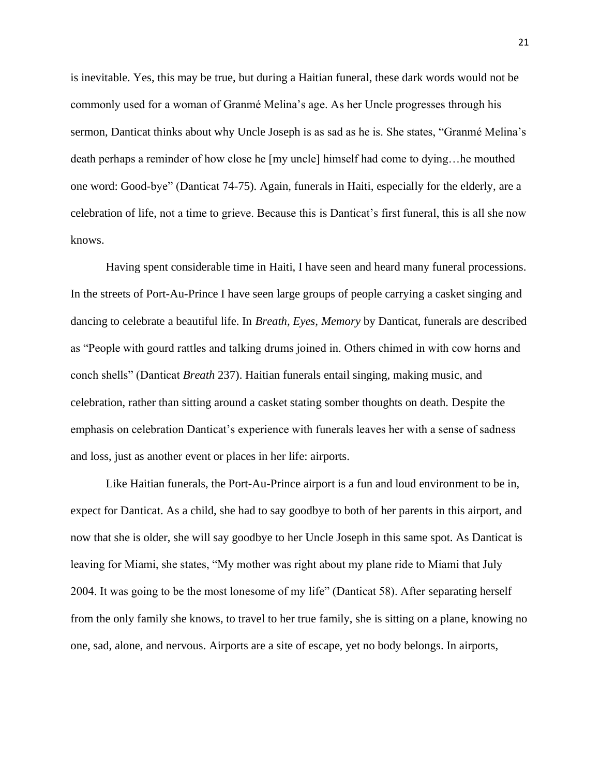is inevitable. Yes, this may be true, but during a Haitian funeral, these dark words would not be commonly used for a woman of Granmé Melina's age. As her Uncle progresses through his sermon, Danticat thinks about why Uncle Joseph is as sad as he is. She states, "Granmé Melina's death perhaps a reminder of how close he [my uncle] himself had come to dying…he mouthed one word: Good-bye" (Danticat 74-75). Again, funerals in Haiti, especially for the elderly, are a celebration of life, not a time to grieve. Because this is Danticat's first funeral, this is all she now knows.

Having spent considerable time in Haiti, I have seen and heard many funeral processions. In the streets of Port-Au-Prince I have seen large groups of people carrying a casket singing and dancing to celebrate a beautiful life. In *Breath, Eyes, Memory* by Danticat, funerals are described as "People with gourd rattles and talking drums joined in. Others chimed in with cow horns and conch shells" (Danticat *Breath* 237). Haitian funerals entail singing, making music, and celebration, rather than sitting around a casket stating somber thoughts on death. Despite the emphasis on celebration Danticat's experience with funerals leaves her with a sense of sadness and loss, just as another event or places in her life: airports.

Like Haitian funerals, the Port-Au-Prince airport is a fun and loud environment to be in, expect for Danticat. As a child, she had to say goodbye to both of her parents in this airport, and now that she is older, she will say goodbye to her Uncle Joseph in this same spot. As Danticat is leaving for Miami, she states, "My mother was right about my plane ride to Miami that July 2004. It was going to be the most lonesome of my life" (Danticat 58). After separating herself from the only family she knows, to travel to her true family, she is sitting on a plane, knowing no one, sad, alone, and nervous. Airports are a site of escape, yet no body belongs. In airports,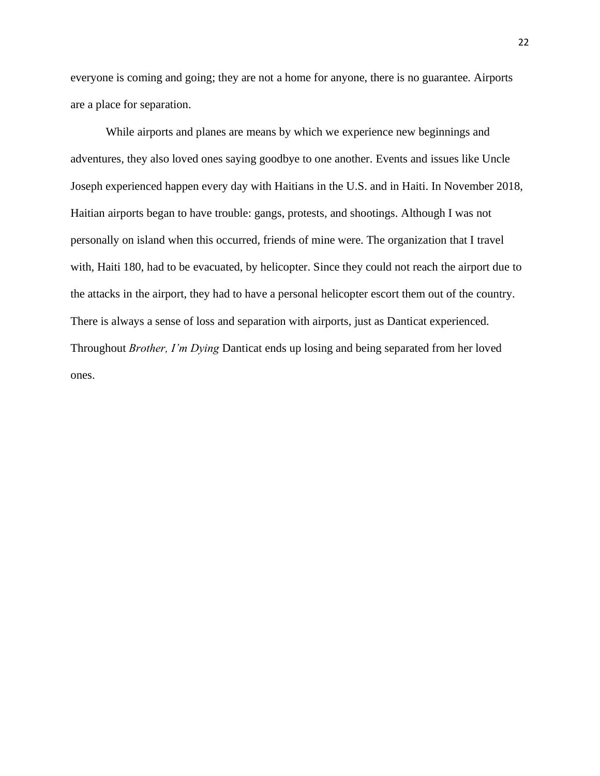everyone is coming and going; they are not a home for anyone, there is no guarantee. Airports are a place for separation.

While airports and planes are means by which we experience new beginnings and adventures, they also loved ones saying goodbye to one another. Events and issues like Uncle Joseph experienced happen every day with Haitians in the U.S. and in Haiti. In November 2018, Haitian airports began to have trouble: gangs, protests, and shootings. Although I was not personally on island when this occurred, friends of mine were. The organization that I travel with, Haiti 180, had to be evacuated, by helicopter. Since they could not reach the airport due to the attacks in the airport, they had to have a personal helicopter escort them out of the country. There is always a sense of loss and separation with airports, just as Danticat experienced. Throughout *Brother, I'm Dying* Danticat ends up losing and being separated from her loved ones.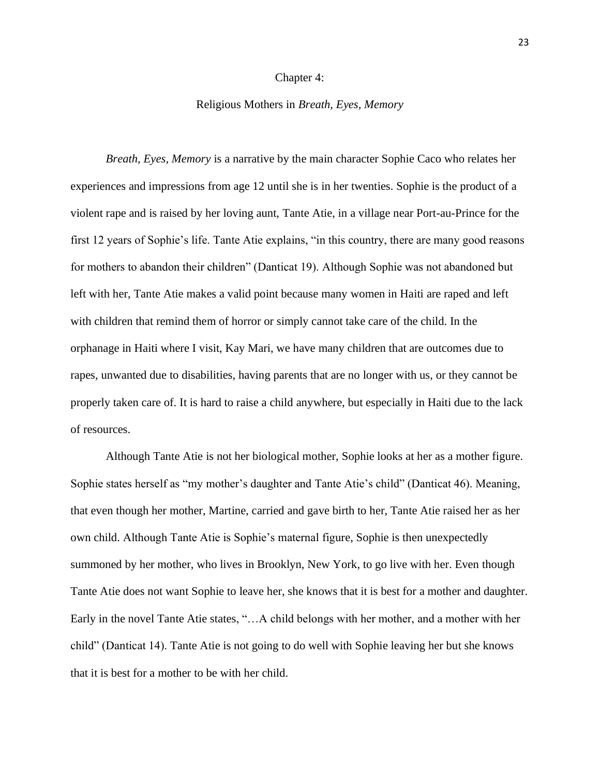#### Chapter 4:

## Religious Mothers in *Breath, Eyes, Memory*

*Breath, Eyes, Memory* is a narrative by the main character Sophie Caco who relates her experiences and impressions from age 12 until she is in her twenties. Sophie is the product of a violent rape and is raised by her loving aunt, Tante Atie, in a village near Port-au-Prince for the first 12 years of Sophie's life. Tante Atie explains, "in this country, there are many good reasons for mothers to abandon their children" (Danticat 19). Although Sophie was not abandoned but left with her, Tante Atie makes a valid point because many women in Haiti are raped and left with children that remind them of horror or simply cannot take care of the child. In the orphanage in Haiti where I visit, Kay Mari, we have many children that are outcomes due to rapes, unwanted due to disabilities, having parents that are no longer with us, or they cannot be properly taken care of. It is hard to raise a child anywhere, but especially in Haiti due to the lack of resources.

Although Tante Atie is not her biological mother, Sophie looks at her as a mother figure. Sophie states herself as "my mother's daughter and Tante Atie's child" (Danticat 46). Meaning, that even though her mother, Martine, carried and gave birth to her, Tante Atie raised her as her own child. Although Tante Atie is Sophie's maternal figure, Sophie is then unexpectedly summoned by her mother, who lives in Brooklyn, New York, to go live with her. Even though Tante Atie does not want Sophie to leave her, she knows that it is best for a mother and daughter. Early in the novel Tante Atie states, "…A child belongs with her mother, and a mother with her child" (Danticat 14). Tante Atie is not going to do well with Sophie leaving her but she knows that it is best for a mother to be with her child.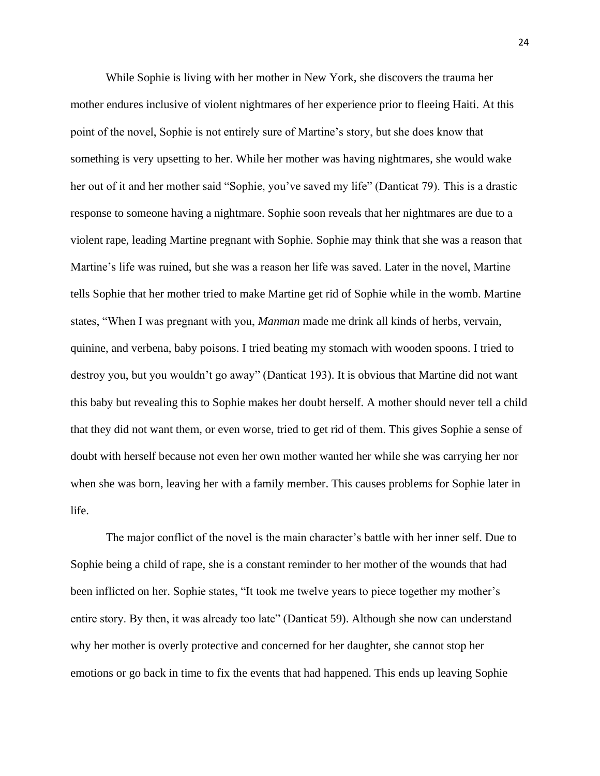While Sophie is living with her mother in New York, she discovers the trauma her mother endures inclusive of violent nightmares of her experience prior to fleeing Haiti. At this point of the novel, Sophie is not entirely sure of Martine's story, but she does know that something is very upsetting to her. While her mother was having nightmares, she would wake her out of it and her mother said "Sophie, you've saved my life" (Danticat 79). This is a drastic response to someone having a nightmare. Sophie soon reveals that her nightmares are due to a violent rape, leading Martine pregnant with Sophie. Sophie may think that she was a reason that Martine's life was ruined, but she was a reason her life was saved. Later in the novel, Martine tells Sophie that her mother tried to make Martine get rid of Sophie while in the womb. Martine states, "When I was pregnant with you, *Manman* made me drink all kinds of herbs, vervain, quinine, and verbena, baby poisons. I tried beating my stomach with wooden spoons. I tried to destroy you, but you wouldn't go away" (Danticat 193). It is obvious that Martine did not want this baby but revealing this to Sophie makes her doubt herself. A mother should never tell a child that they did not want them, or even worse, tried to get rid of them. This gives Sophie a sense of doubt with herself because not even her own mother wanted her while she was carrying her nor when she was born, leaving her with a family member. This causes problems for Sophie later in life.

The major conflict of the novel is the main character's battle with her inner self. Due to Sophie being a child of rape, she is a constant reminder to her mother of the wounds that had been inflicted on her. Sophie states, "It took me twelve years to piece together my mother's entire story. By then, it was already too late" (Danticat 59). Although she now can understand why her mother is overly protective and concerned for her daughter, she cannot stop her emotions or go back in time to fix the events that had happened. This ends up leaving Sophie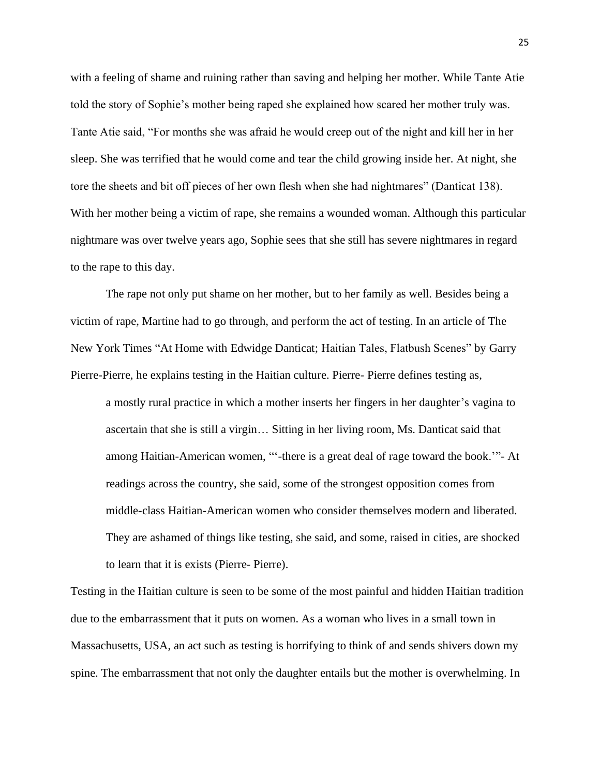with a feeling of shame and ruining rather than saving and helping her mother. While Tante Atie told the story of Sophie's mother being raped she explained how scared her mother truly was. Tante Atie said, "For months she was afraid he would creep out of the night and kill her in her sleep. She was terrified that he would come and tear the child growing inside her. At night, she tore the sheets and bit off pieces of her own flesh when she had nightmares" (Danticat 138). With her mother being a victim of rape, she remains a wounded woman. Although this particular nightmare was over twelve years ago, Sophie sees that she still has severe nightmares in regard to the rape to this day.

The rape not only put shame on her mother, but to her family as well. Besides being a victim of rape, Martine had to go through, and perform the act of testing. In an article of The New York Times "At Home with Edwidge Danticat; Haitian Tales, Flatbush Scenes" by Garry Pierre-Pierre, he explains testing in the Haitian culture. Pierre- Pierre defines testing as,

a mostly rural practice in which a mother inserts her fingers in her daughter's vagina to ascertain that she is still a virgin… Sitting in her living room, Ms. Danticat said that among Haitian-American women, "'-there is a great deal of rage toward the book.'"- At readings across the country, she said, some of the strongest opposition comes from middle-class Haitian-American women who consider themselves modern and liberated. They are ashamed of things like testing, she said, and some, raised in cities, are shocked to learn that it is exists (Pierre- Pierre).

Testing in the Haitian culture is seen to be some of the most painful and hidden Haitian tradition due to the embarrassment that it puts on women. As a woman who lives in a small town in Massachusetts, USA, an act such as testing is horrifying to think of and sends shivers down my spine. The embarrassment that not only the daughter entails but the mother is overwhelming. In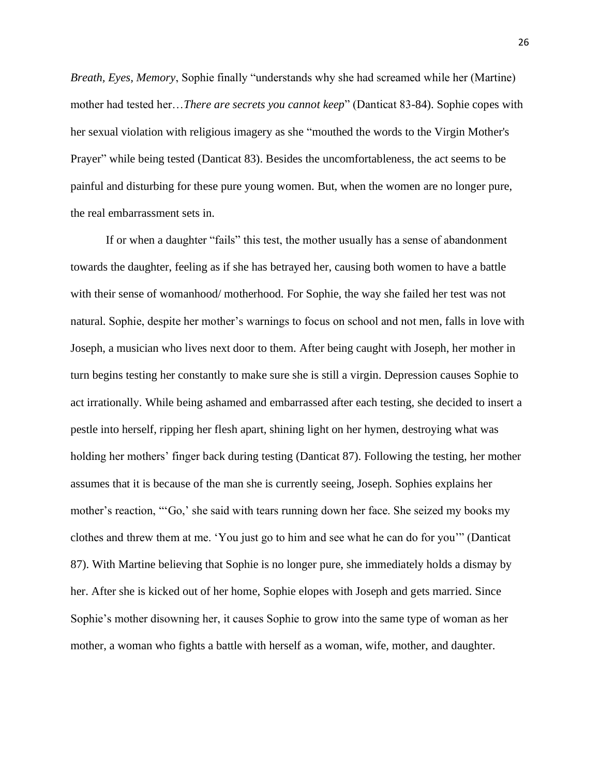*Breath, Eyes, Memory*, Sophie finally "understands why she had screamed while her (Martine) mother had tested her…*There are secrets you cannot keep*" (Danticat 83-84). Sophie copes with her sexual violation with religious imagery as she "mouthed the words to the Virgin Mother's Prayer" while being tested (Danticat 83). Besides the uncomfortableness, the act seems to be painful and disturbing for these pure young women. But, when the women are no longer pure, the real embarrassment sets in.

If or when a daughter "fails" this test, the mother usually has a sense of abandonment towards the daughter, feeling as if she has betrayed her, causing both women to have a battle with their sense of womanhood/ motherhood. For Sophie, the way she failed her test was not natural. Sophie, despite her mother's warnings to focus on school and not men, falls in love with Joseph, a musician who lives next door to them. After being caught with Joseph, her mother in turn begins testing her constantly to make sure she is still a virgin. Depression causes Sophie to act irrationally. While being ashamed and embarrassed after each testing, she decided to insert a pestle into herself, ripping her flesh apart, shining light on her hymen, destroying what was holding her mothers' finger back during testing (Danticat 87). Following the testing, her mother assumes that it is because of the man she is currently seeing, Joseph. Sophies explains her mother's reaction, "'Go,' she said with tears running down her face. She seized my books my clothes and threw them at me. 'You just go to him and see what he can do for you'" (Danticat 87). With Martine believing that Sophie is no longer pure, she immediately holds a dismay by her. After she is kicked out of her home, Sophie elopes with Joseph and gets married. Since Sophie's mother disowning her, it causes Sophie to grow into the same type of woman as her mother, a woman who fights a battle with herself as a woman, wife, mother, and daughter.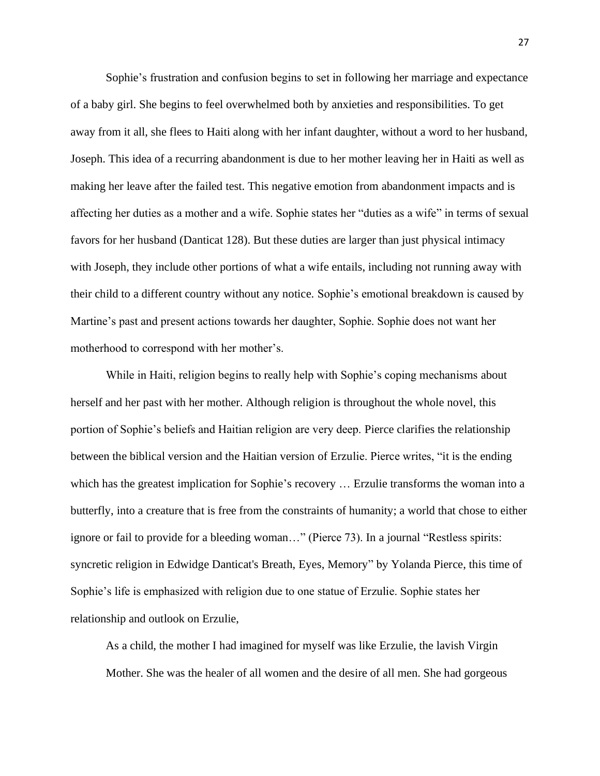Sophie's frustration and confusion begins to set in following her marriage and expectance of a baby girl. She begins to feel overwhelmed both by anxieties and responsibilities. To get away from it all, she flees to Haiti along with her infant daughter, without a word to her husband, Joseph. This idea of a recurring abandonment is due to her mother leaving her in Haiti as well as making her leave after the failed test. This negative emotion from abandonment impacts and is affecting her duties as a mother and a wife. Sophie states her "duties as a wife" in terms of sexual favors for her husband (Danticat 128). But these duties are larger than just physical intimacy with Joseph, they include other portions of what a wife entails, including not running away with their child to a different country without any notice. Sophie's emotional breakdown is caused by Martine's past and present actions towards her daughter, Sophie. Sophie does not want her motherhood to correspond with her mother's.

While in Haiti, religion begins to really help with Sophie's coping mechanisms about herself and her past with her mother. Although religion is throughout the whole novel, this portion of Sophie's beliefs and Haitian religion are very deep. Pierce clarifies the relationship between the biblical version and the Haitian version of Erzulie. Pierce writes, "it is the ending which has the greatest implication for Sophie's recovery … Erzulie transforms the woman into a butterfly, into a creature that is free from the constraints of humanity; a world that chose to either ignore or fail to provide for a bleeding woman…" (Pierce 73). In a journal "Restless spirits: syncretic religion in Edwidge Danticat's Breath, Eyes, Memory" by Yolanda Pierce, this time of Sophie's life is emphasized with religion due to one statue of Erzulie. Sophie states her relationship and outlook on Erzulie,

As a child, the mother I had imagined for myself was like Erzulie, the lavish Virgin Mother. She was the healer of all women and the desire of all men. She had gorgeous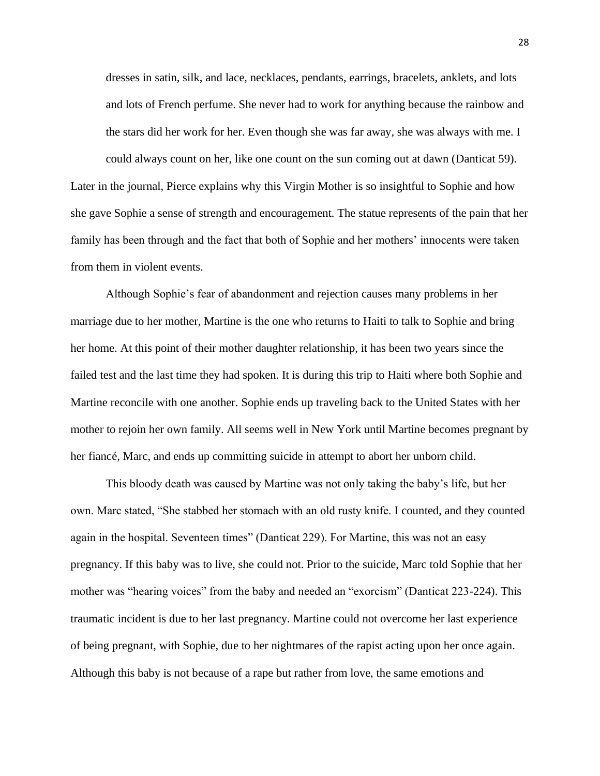dresses in satin, silk, and lace, necklaces, pendants, earrings, bracelets, anklets, and lots and lots of French perfume. She never had to work for anything because the rainbow and the stars did her work for her. Even though she was far away, she was always with me. I could always count on her, like one count on the sun coming out at dawn (Danticat 59).

Later in the journal, Pierce explains why this Virgin Mother is so insightful to Sophie and how she gave Sophie a sense of strength and encouragement. The statue represents of the pain that her family has been through and the fact that both of Sophie and her mothers' innocents were taken from them in violent events.

Although Sophie's fear of abandonment and rejection causes many problems in her marriage due to her mother, Martine is the one who returns to Haiti to talk to Sophie and bring her home. At this point of their mother daughter relationship, it has been two years since the failed test and the last time they had spoken. It is during this trip to Haiti where both Sophie and Martine reconcile with one another. Sophie ends up traveling back to the United States with her mother to rejoin her own family. All seems well in New York until Martine becomes pregnant by her fiancé, Marc, and ends up committing suicide in attempt to abort her unborn child.

This bloody death was caused by Martine was not only taking the baby's life, but her own. Marc stated, "She stabbed her stomach with an old rusty knife. I counted, and they counted again in the hospital. Seventeen times" (Danticat 229). For Martine, this was not an easy pregnancy. If this baby was to live, she could not. Prior to the suicide, Marc told Sophie that her mother was "hearing voices" from the baby and needed an "exorcism" (Danticat 223-224). This traumatic incident is due to her last pregnancy. Martine could not overcome her last experience of being pregnant, with Sophie, due to her nightmares of the rapist acting upon her once again. Although this baby is not because of a rape but rather from love, the same emotions and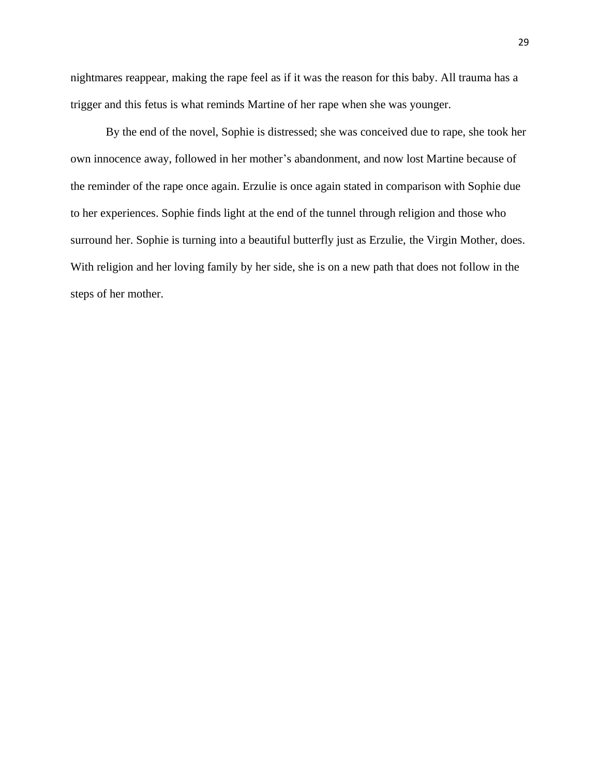nightmares reappear, making the rape feel as if it was the reason for this baby. All trauma has a trigger and this fetus is what reminds Martine of her rape when she was younger.

By the end of the novel, Sophie is distressed; she was conceived due to rape, she took her own innocence away, followed in her mother's abandonment, and now lost Martine because of the reminder of the rape once again. Erzulie is once again stated in comparison with Sophie due to her experiences. Sophie finds light at the end of the tunnel through religion and those who surround her. Sophie is turning into a beautiful butterfly just as Erzulie, the Virgin Mother, does. With religion and her loving family by her side, she is on a new path that does not follow in the steps of her mother.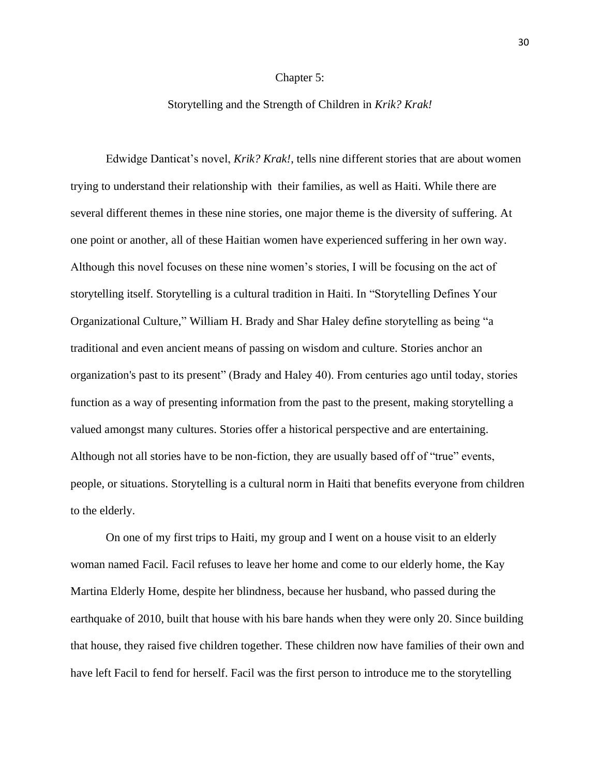### Chapter 5:

## Storytelling and the Strength of Children in *Krik? Krak!*

Edwidge Danticat's novel, *Krik? Krak!*, tells nine different stories that are about women trying to understand their relationship with their families, as well as Haiti. While there are several different themes in these nine stories, one major theme is the diversity of suffering. At one point or another, all of these Haitian women have experienced suffering in her own way. Although this novel focuses on these nine women's stories, I will be focusing on the act of storytelling itself. Storytelling is a cultural tradition in Haiti. In "Storytelling Defines Your Organizational Culture," William H. Brady and Shar Haley define storytelling as being "a traditional and even ancient means of passing on wisdom and culture. Stories anchor an organization's past to its present" (Brady and Haley 40). From centuries ago until today, stories function as a way of presenting information from the past to the present, making storytelling a valued amongst many cultures. Stories offer a historical perspective and are entertaining. Although not all stories have to be non-fiction, they are usually based off of "true" events, people, or situations. Storytelling is a cultural norm in Haiti that benefits everyone from children to the elderly.

On one of my first trips to Haiti, my group and I went on a house visit to an elderly woman named Facil. Facil refuses to leave her home and come to our elderly home, the Kay Martina Elderly Home, despite her blindness, because her husband, who passed during the earthquake of 2010, built that house with his bare hands when they were only 20. Since building that house, they raised five children together. These children now have families of their own and have left Facil to fend for herself. Facil was the first person to introduce me to the storytelling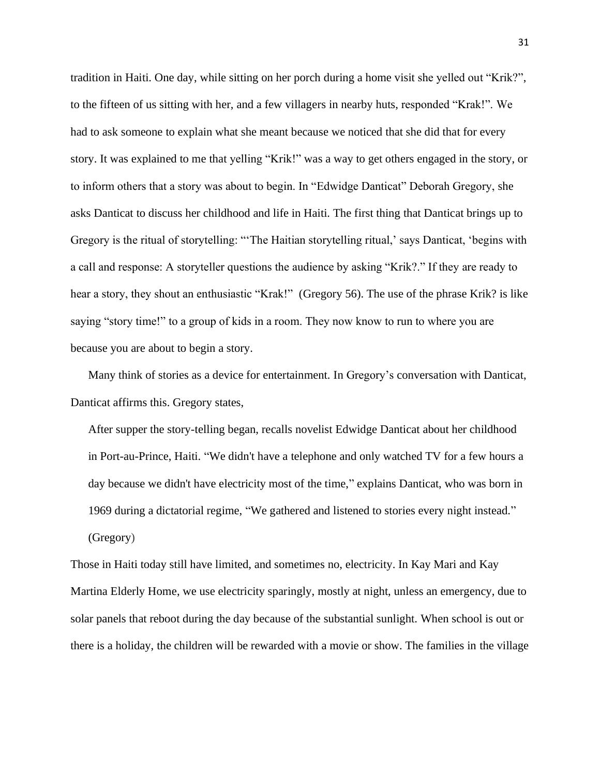tradition in Haiti. One day, while sitting on her porch during a home visit she yelled out "Krik?", to the fifteen of us sitting with her, and a few villagers in nearby huts, responded "Krak!". We had to ask someone to explain what she meant because we noticed that she did that for every story. It was explained to me that yelling "Krik!" was a way to get others engaged in the story, or to inform others that a story was about to begin. In "Edwidge Danticat" Deborah Gregory, she asks Danticat to discuss her childhood and life in Haiti. The first thing that Danticat brings up to Gregory is the ritual of storytelling: "'The Haitian storytelling ritual,' says Danticat, 'begins with a call and response: A storyteller questions the audience by asking "Krik?." If they are ready to hear a story, they shout an enthusiastic "Krak!" (Gregory 56). The use of the phrase Krik? is like saying "story time!" to a group of kids in a room. They now know to run to where you are because you are about to begin a story.

Many think of stories as a device for entertainment. In Gregory's conversation with Danticat, Danticat affirms this. Gregory states,

After supper the story-telling began, recalls novelist Edwidge Danticat about her childhood in Port-au-Prince, Haiti. "We didn't have a telephone and only watched TV for a few hours a day because we didn't have electricity most of the time," explains Danticat, who was born in 1969 during a dictatorial regime, "We gathered and listened to stories every night instead." (Gregory)

Those in Haiti today still have limited, and sometimes no, electricity. In Kay Mari and Kay Martina Elderly Home, we use electricity sparingly, mostly at night, unless an emergency, due to solar panels that reboot during the day because of the substantial sunlight. When school is out or there is a holiday, the children will be rewarded with a movie or show. The families in the village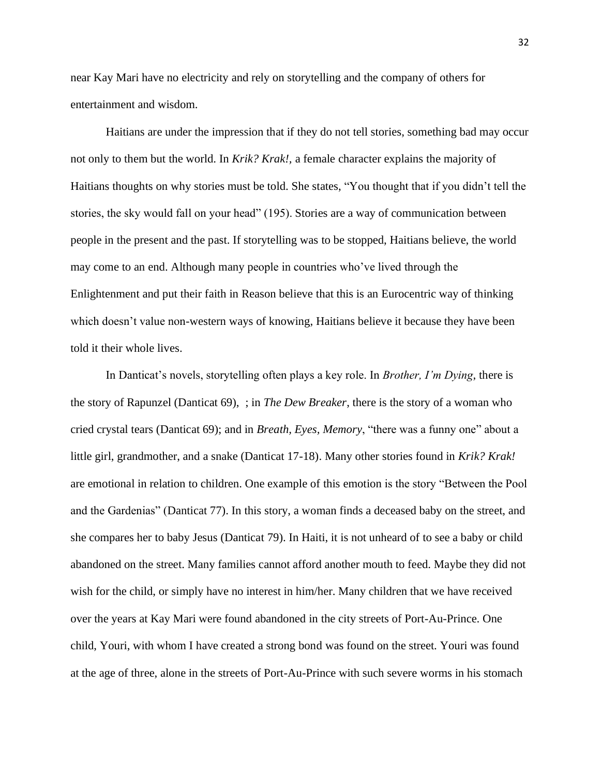near Kay Mari have no electricity and rely on storytelling and the company of others for entertainment and wisdom.

Haitians are under the impression that if they do not tell stories, something bad may occur not only to them but the world. In *Krik? Krak!,* a female character explains the majority of Haitians thoughts on why stories must be told. She states, "You thought that if you didn't tell the stories, the sky would fall on your head" (195). Stories are a way of communication between people in the present and the past. If storytelling was to be stopped, Haitians believe, the world may come to an end. Although many people in countries who've lived through the Enlightenment and put their faith in Reason believe that this is an Eurocentric way of thinking which doesn't value non-western ways of knowing, Haitians believe it because they have been told it their whole lives.

In Danticat's novels, storytelling often plays a key role. In *Brother, I'm Dying*, there is the story of Rapunzel (Danticat 69), ; in *The Dew Breaker*, there is the story of a woman who cried crystal tears (Danticat 69); and in *Breath, Eyes, Memory*, "there was a funny one" about a little girl, grandmother, and a snake (Danticat 17-18). Many other stories found in *Krik? Krak!* are emotional in relation to children. One example of this emotion is the story "Between the Pool and the Gardenias" (Danticat 77). In this story, a woman finds a deceased baby on the street, and she compares her to baby Jesus (Danticat 79). In Haiti, it is not unheard of to see a baby or child abandoned on the street. Many families cannot afford another mouth to feed. Maybe they did not wish for the child, or simply have no interest in him/her. Many children that we have received over the years at Kay Mari were found abandoned in the city streets of Port-Au-Prince. One child, Youri, with whom I have created a strong bond was found on the street. Youri was found at the age of three, alone in the streets of Port-Au-Prince with such severe worms in his stomach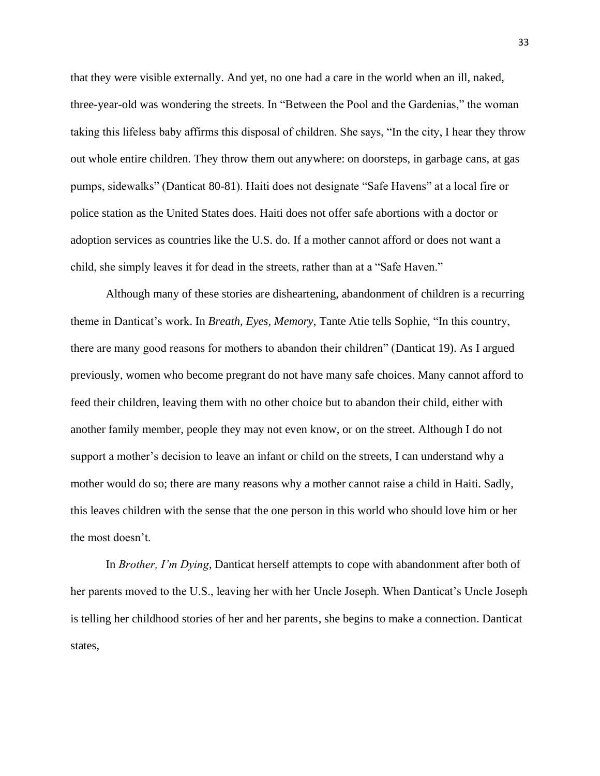that they were visible externally. And yet, no one had a care in the world when an ill, naked, three-year-old was wondering the streets. In "Between the Pool and the Gardenias," the woman taking this lifeless baby affirms this disposal of children. She says, "In the city, I hear they throw out whole entire children. They throw them out anywhere: on doorsteps, in garbage cans, at gas pumps, sidewalks" (Danticat 80-81). Haiti does not designate "Safe Havens" at a local fire or police station as the United States does. Haiti does not offer safe abortions with a doctor or adoption services as countries like the U.S. do. If a mother cannot afford or does not want a child, she simply leaves it for dead in the streets, rather than at a "Safe Haven."

Although many of these stories are disheartening, abandonment of children is a recurring theme in Danticat's work. In *Breath, Eyes, Memory*, Tante Atie tells Sophie, "In this country, there are many good reasons for mothers to abandon their children" (Danticat 19). As I argued previously, women who become pregrant do not have many safe choices. Many cannot afford to feed their children, leaving them with no other choice but to abandon their child, either with another family member, people they may not even know, or on the street. Although I do not support a mother's decision to leave an infant or child on the streets, I can understand why a mother would do so; there are many reasons why a mother cannot raise a child in Haiti. Sadly, this leaves children with the sense that the one person in this world who should love him or her the most doesn't.

In *Brother, I'm Dying*, Danticat herself attempts to cope with abandonment after both of her parents moved to the U.S., leaving her with her Uncle Joseph. When Danticat's Uncle Joseph is telling her childhood stories of her and her parents, she begins to make a connection. Danticat states,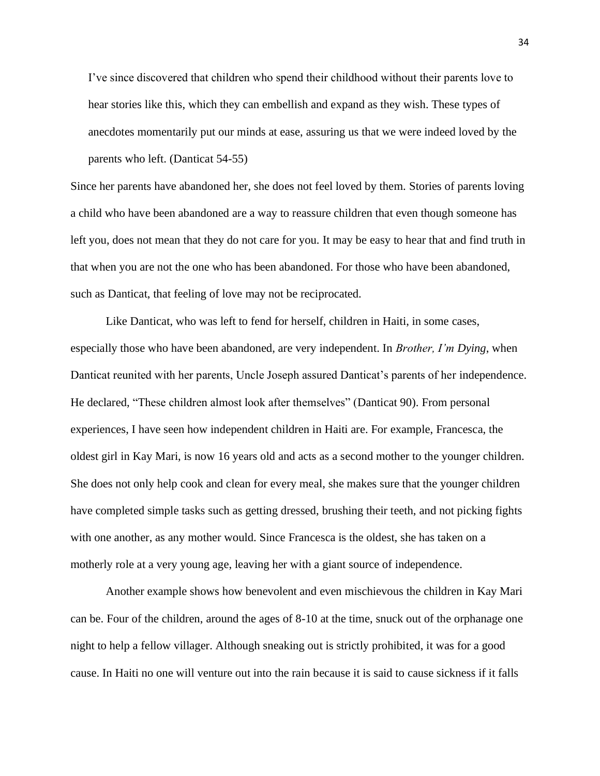I've since discovered that children who spend their childhood without their parents love to hear stories like this, which they can embellish and expand as they wish. These types of anecdotes momentarily put our minds at ease, assuring us that we were indeed loved by the parents who left. (Danticat 54-55)

Since her parents have abandoned her, she does not feel loved by them. Stories of parents loving a child who have been abandoned are a way to reassure children that even though someone has left you, does not mean that they do not care for you. It may be easy to hear that and find truth in that when you are not the one who has been abandoned. For those who have been abandoned, such as Danticat, that feeling of love may not be reciprocated.

Like Danticat, who was left to fend for herself, children in Haiti, in some cases, especially those who have been abandoned, are very independent. In *Brother, I'm Dying*, when Danticat reunited with her parents, Uncle Joseph assured Danticat's parents of her independence. He declared, "These children almost look after themselves" (Danticat 90). From personal experiences, I have seen how independent children in Haiti are. For example, Francesca, the oldest girl in Kay Mari, is now 16 years old and acts as a second mother to the younger children. She does not only help cook and clean for every meal, she makes sure that the younger children have completed simple tasks such as getting dressed, brushing their teeth, and not picking fights with one another, as any mother would. Since Francesca is the oldest, she has taken on a motherly role at a very young age, leaving her with a giant source of independence.

Another example shows how benevolent and even mischievous the children in Kay Mari can be. Four of the children, around the ages of 8-10 at the time, snuck out of the orphanage one night to help a fellow villager. Although sneaking out is strictly prohibited, it was for a good cause. In Haiti no one will venture out into the rain because it is said to cause sickness if it falls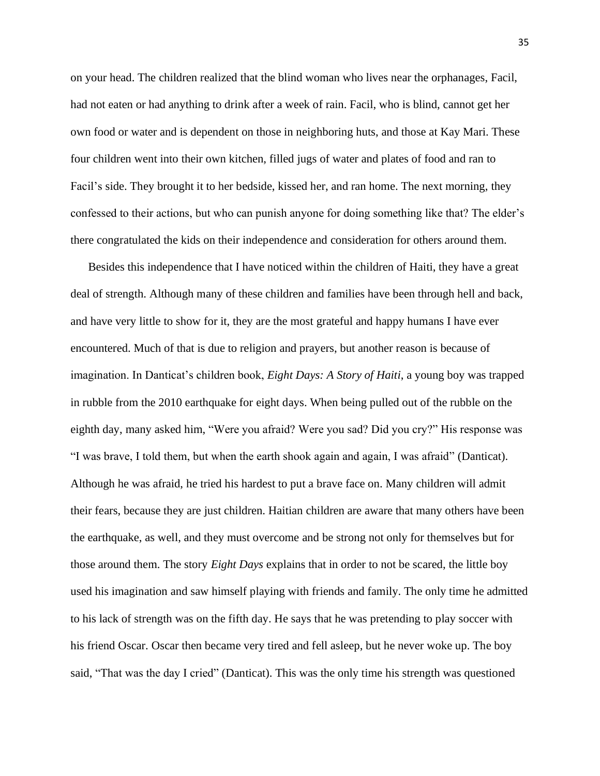on your head. The children realized that the blind woman who lives near the orphanages, Facil, had not eaten or had anything to drink after a week of rain. Facil, who is blind, cannot get her own food or water and is dependent on those in neighboring huts, and those at Kay Mari. These four children went into their own kitchen, filled jugs of water and plates of food and ran to Facil's side. They brought it to her bedside, kissed her, and ran home. The next morning, they confessed to their actions, but who can punish anyone for doing something like that? The elder's there congratulated the kids on their independence and consideration for others around them.

Besides this independence that I have noticed within the children of Haiti, they have a great deal of strength. Although many of these children and families have been through hell and back, and have very little to show for it, they are the most grateful and happy humans I have ever encountered. Much of that is due to religion and prayers, but another reason is because of imagination. In Danticat's children book, *Eight Days: A Story of Haiti*, a young boy was trapped in rubble from the 2010 earthquake for eight days. When being pulled out of the rubble on the eighth day, many asked him, "Were you afraid? Were you sad? Did you cry?" His response was "I was brave, I told them, but when the earth shook again and again, I was afraid" (Danticat). Although he was afraid, he tried his hardest to put a brave face on. Many children will admit their fears, because they are just children. Haitian children are aware that many others have been the earthquake, as well, and they must overcome and be strong not only for themselves but for those around them. The story *Eight Days* explains that in order to not be scared, the little boy used his imagination and saw himself playing with friends and family. The only time he admitted to his lack of strength was on the fifth day. He says that he was pretending to play soccer with his friend Oscar. Oscar then became very tired and fell asleep, but he never woke up. The boy said, "That was the day I cried" (Danticat). This was the only time his strength was questioned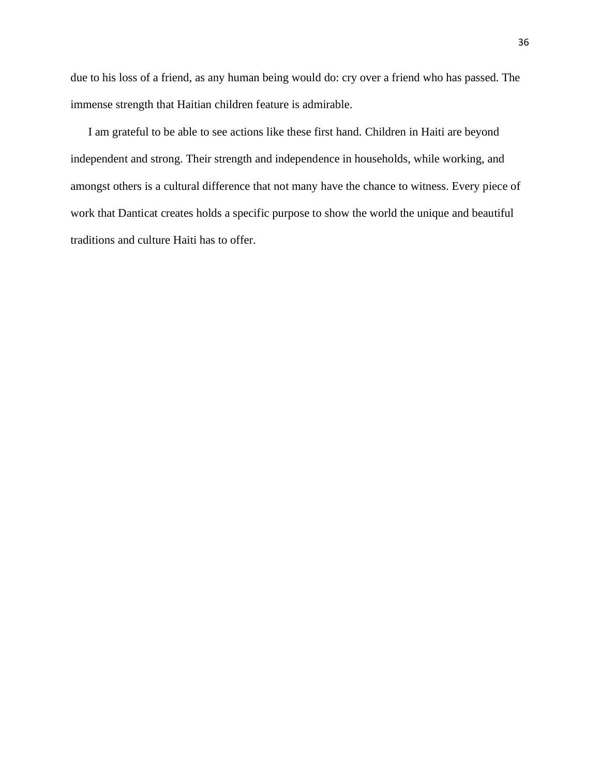due to his loss of a friend, as any human being would do: cry over a friend who has passed. The immense strength that Haitian children feature is admirable.

I am grateful to be able to see actions like these first hand. Children in Haiti are beyond independent and strong. Their strength and independence in households, while working, and amongst others is a cultural difference that not many have the chance to witness. Every piece of work that Danticat creates holds a specific purpose to show the world the unique and beautiful traditions and culture Haiti has to offer.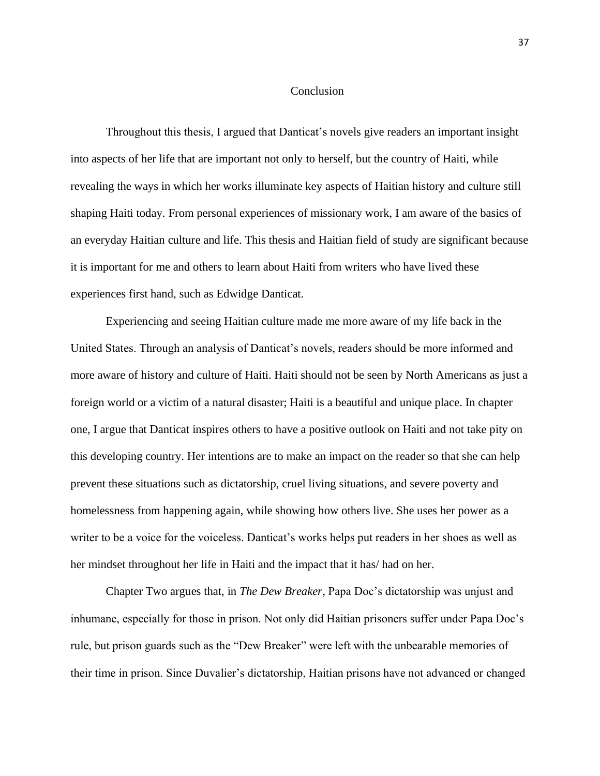## **Conclusion**

Throughout this thesis, I argued that Danticat's novels give readers an important insight into aspects of her life that are important not only to herself, but the country of Haiti, while revealing the ways in which her works illuminate key aspects of Haitian history and culture still shaping Haiti today. From personal experiences of missionary work, I am aware of the basics of an everyday Haitian culture and life. This thesis and Haitian field of study are significant because it is important for me and others to learn about Haiti from writers who have lived these experiences first hand, such as Edwidge Danticat.

Experiencing and seeing Haitian culture made me more aware of my life back in the United States. Through an analysis of Danticat's novels, readers should be more informed and more aware of history and culture of Haiti. Haiti should not be seen by North Americans as just a foreign world or a victim of a natural disaster; Haiti is a beautiful and unique place. In chapter one, I argue that Danticat inspires others to have a positive outlook on Haiti and not take pity on this developing country. Her intentions are to make an impact on the reader so that she can help prevent these situations such as dictatorship, cruel living situations, and severe poverty and homelessness from happening again, while showing how others live. She uses her power as a writer to be a voice for the voiceless. Danticat's works helps put readers in her shoes as well as her mindset throughout her life in Haiti and the impact that it has/ had on her.

Chapter Two argues that, in *The Dew Breaker*, Papa Doc's dictatorship was unjust and inhumane, especially for those in prison. Not only did Haitian prisoners suffer under Papa Doc's rule, but prison guards such as the "Dew Breaker" were left with the unbearable memories of their time in prison. Since Duvalier's dictatorship, Haitian prisons have not advanced or changed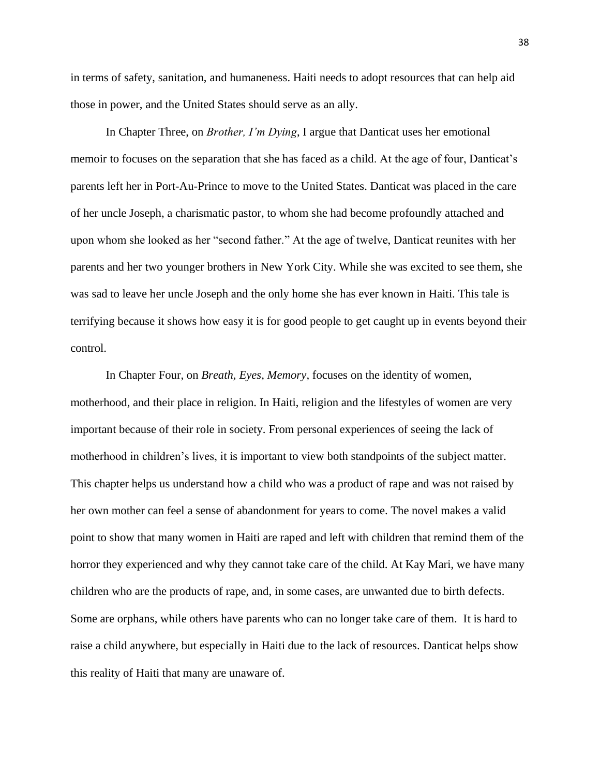in terms of safety, sanitation, and humaneness. Haiti needs to adopt resources that can help aid those in power, and the United States should serve as an ally.

In Chapter Three, on *Brother, I'm Dying*, I argue that Danticat uses her emotional memoir to focuses on the separation that she has faced as a child. At the age of four, Danticat's parents left her in Port-Au-Prince to move to the United States. Danticat was placed in the care of her uncle Joseph, a charismatic pastor, to whom she had become profoundly attached and upon whom she looked as her "second father." At the age of twelve, Danticat reunites with her parents and her two younger brothers in New York City. While she was excited to see them, she was sad to leave her uncle Joseph and the only home she has ever known in Haiti. This tale is terrifying because it shows how easy it is for good people to get caught up in events beyond their control.

In Chapter Four, on *Breath, Eyes, Memory,* focuses on the identity of women, motherhood, and their place in religion. In Haiti, religion and the lifestyles of women are very important because of their role in society. From personal experiences of seeing the lack of motherhood in children's lives, it is important to view both standpoints of the subject matter. This chapter helps us understand how a child who was a product of rape and was not raised by her own mother can feel a sense of abandonment for years to come. The novel makes a valid point to show that many women in Haiti are raped and left with children that remind them of the horror they experienced and why they cannot take care of the child. At Kay Mari, we have many children who are the products of rape, and, in some cases, are unwanted due to birth defects. Some are orphans, while others have parents who can no longer take care of them. It is hard to raise a child anywhere, but especially in Haiti due to the lack of resources. Danticat helps show this reality of Haiti that many are unaware of.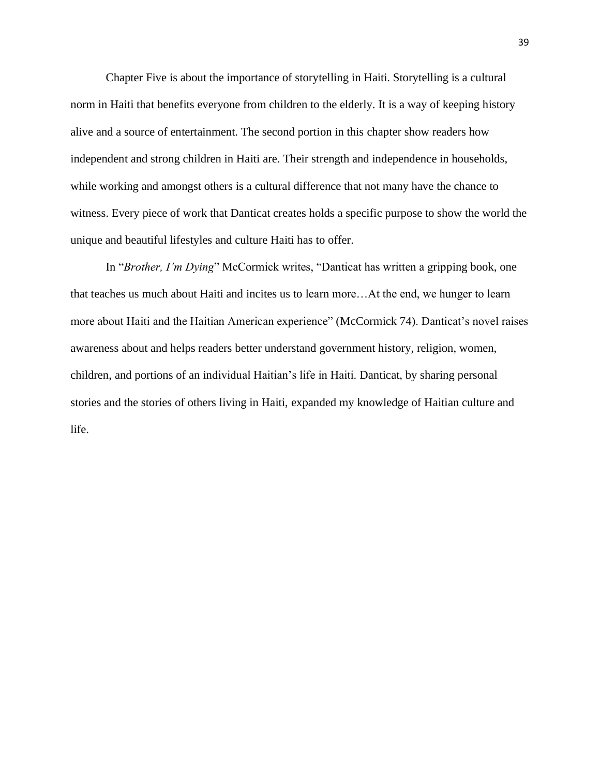Chapter Five is about the importance of storytelling in Haiti. Storytelling is a cultural norm in Haiti that benefits everyone from children to the elderly. It is a way of keeping history alive and a source of entertainment. The second portion in this chapter show readers how independent and strong children in Haiti are. Their strength and independence in households, while working and amongst others is a cultural difference that not many have the chance to witness. Every piece of work that Danticat creates holds a specific purpose to show the world the unique and beautiful lifestyles and culture Haiti has to offer.

In "*Brother, I'm Dying*" McCormick writes, "Danticat has written a gripping book, one that teaches us much about Haiti and incites us to learn more…At the end, we hunger to learn more about Haiti and the Haitian American experience" (McCormick 74). Danticat's novel raises awareness about and helps readers better understand government history, religion, women, children, and portions of an individual Haitian's life in Haiti. Danticat, by sharing personal stories and the stories of others living in Haiti, expanded my knowledge of Haitian culture and life.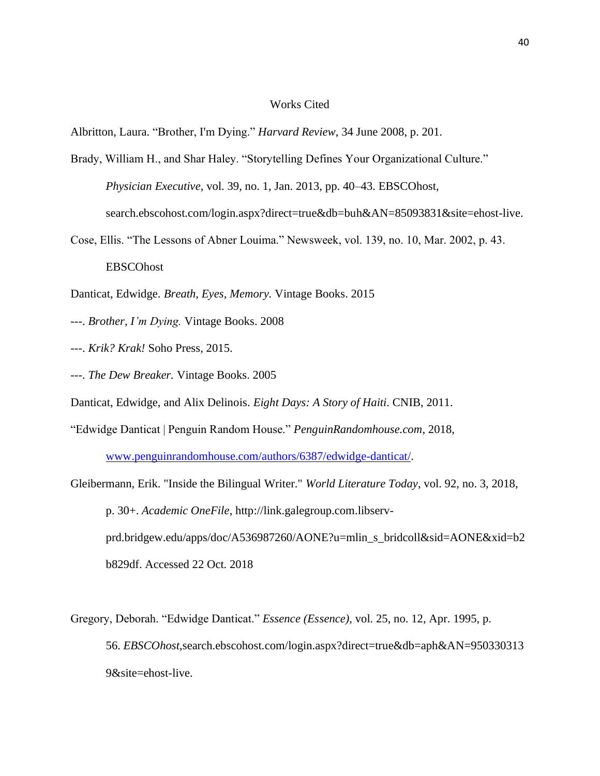# Works Cited

Albritton, Laura. "Brother, I'm Dying." *Harvard Review*, 34 June 2008, p. 201.

- Brady, William H., and Shar Haley. "Storytelling Defines Your Organizational Culture." *Physician Executive*, vol. 39, no. 1, Jan. 2013, pp. 40–43. EBSCOhost, search.ebscohost.com/login.aspx?direct=true&db=buh&AN=85093831&site=ehost-live.
- Cose, Ellis. "The Lessons of Abner Louima." Newsweek, vol. 139, no. 10, Mar. 2002, p. 43. EBSCOhost

Danticat, Edwidge. *Breath, Eyes, Memory.* Vintage Books. 2015

- ---. *Brother, I'm Dying.* Vintage Books. 2008
- ---. *Krik? Krak!* Soho Press, 2015.
- ---. *The Dew Breaker.* Vintage Books. 2005

Danticat, Edwidge, and Alix Delinois. *Eight Days: A Story of Haiti*. CNIB, 2011.

"Edwidge Danticat | Penguin Random House." *PenguinRandomhouse.com*, 2018,

[www.penguinrandomhouse.com/authors/6387/edwidge-danticat/.](http://www.penguinrandomhouse.com/authors/6387/edwidge-danticat/)

- Gleibermann, Erik. "Inside the Bilingual Writer." *World Literature Today*, vol. 92, no. 3, 2018, p. 30+. *Academic OneFile*, http://link.galegroup.com.libservprd.bridgew.edu/apps/doc/A536987260/AONE?u=mlin\_s\_bridcoll&sid=AONE&xid=b2 b829df. Accessed 22 Oct. 2018
- Gregory, Deborah. "Edwidge Danticat." *Essence (Essence)*, vol. 25, no. 12, Apr. 1995, p. 56. *EBSCOhost*,search.ebscohost.com/login.aspx?direct=true&db=aph&AN=950330313 9&site=ehost-live.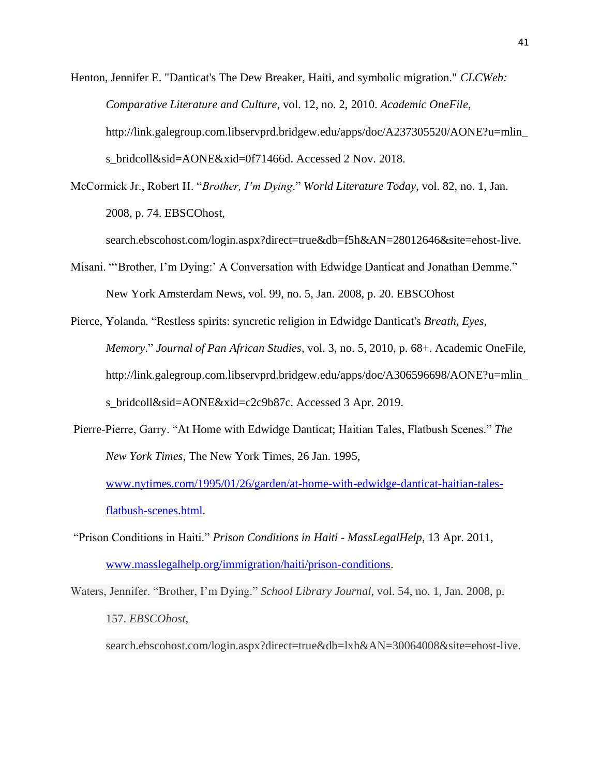Henton, Jennifer E. "Danticat's The Dew Breaker, Haiti, and symbolic migration." *CLCWeb: Comparative Literature and Culture*, vol. 12, no. 2, 2010. *Academic OneFile*, http://link.galegroup.com.libservprd.bridgew.edu/apps/doc/A237305520/AONE?u=mlin\_ s\_bridcoll&sid=AONE&xid=0f71466d. Accessed 2 Nov. 2018.

McCormick Jr., Robert H. "*Brother, I'm Dying*." *World Literature Today*, vol. 82, no. 1, Jan. 2008, p. 74. EBSCOhost,

search.ebscohost.com/login.aspx?direct=true&db=f5h&AN=28012646&site=ehost-live.

- Misani. "'Brother, I'm Dying:' A Conversation with Edwidge Danticat and Jonathan Demme." New York Amsterdam News, vol. 99, no. 5, Jan. 2008, p. 20. EBSCOhost
- Pierce, Yolanda. "Restless spirits: syncretic religion in Edwidge Danticat's *Breath, Eyes, Memory*." *Journal of Pan African Studies*, vol. 3, no. 5, 2010, p. 68+. Academic OneFile, http://link.galegroup.com.libservprd.bridgew.edu/apps/doc/A306596698/AONE?u=mlin\_ s\_bridcoll&sid=AONE&xid=c2c9b87c. Accessed 3 Apr. 2019.
- Pierre-Pierre, Garry. "At Home with Edwidge Danticat; Haitian Tales, Flatbush Scenes." *The New York Times*, The New York Times, 26 Jan. 1995,

[www.nytimes.com/1995/01/26/garden/at-home-with-edwidge-danticat-haitian-tales](http://www.nytimes.com/1995/01/26/garden/at-home-with-edwidge-danticat-haitian-tales-flatbush-scenes.html)[flatbush-scenes.html.](http://www.nytimes.com/1995/01/26/garden/at-home-with-edwidge-danticat-haitian-tales-flatbush-scenes.html)

"Prison Conditions in Haiti." *Prison Conditions in Haiti - MassLegalHelp*, 13 Apr. 2011, [www.masslegalhelp.org/immigration/haiti/prison-conditions.](http://www.masslegalhelp.org/immigration/haiti/prison-conditions)

Waters, Jennifer. "Brother, I'm Dying." *School Library Journal*, vol. 54, no. 1, Jan. 2008, p. 157. *EBSCOhost*,

search.ebscohost.com/login.aspx?direct=true&db=lxh&AN=30064008&site=ehost-live.